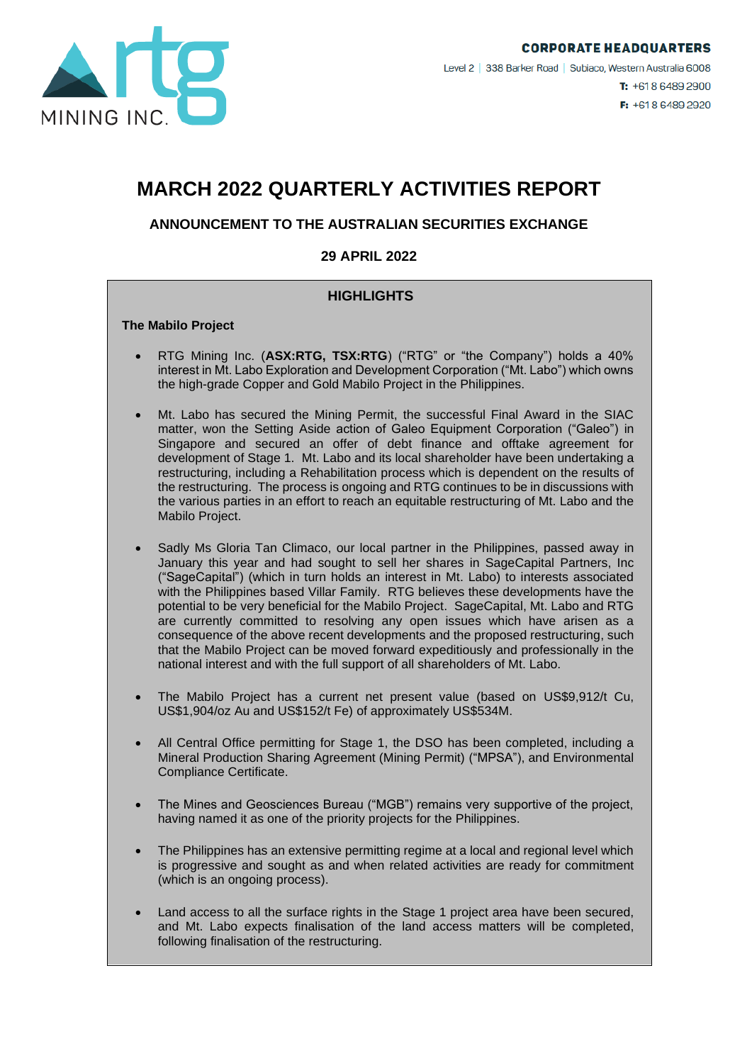

# **MARCH 2022 QUARTERLY ACTIVITIES REPORT**

## **ANNOUNCEMENT TO THE AUSTRALIAN SECURITIES EXCHANGE**

## **29 APRIL 2022**

## **HIGHLIGHTS**

#### **The Mabilo Project**

- RTG Mining Inc. (**ASX:RTG, TSX:RTG**) ("RTG" or "the Company") holds a 40% interest in Mt. Labo Exploration and Development Corporation ("Mt. Labo") which owns the high-grade Copper and Gold Mabilo Project in the Philippines.
- Mt. Labo has secured the Mining Permit, the successful Final Award in the SIAC matter, won the Setting Aside action of Galeo Equipment Corporation ("Galeo") in Singapore and secured an offer of debt finance and offtake agreement for development of Stage 1. Mt. Labo and its local shareholder have been undertaking a restructuring, including a Rehabilitation process which is dependent on the results of the restructuring. The process is ongoing and RTG continues to be in discussions with the various parties in an effort to reach an equitable restructuring of Mt. Labo and the Mabilo Project.
- Sadly Ms Gloria Tan Climaco, our local partner in the Philippines, passed away in January this year and had sought to sell her shares in SageCapital Partners, Inc ("SageCapital") (which in turn holds an interest in Mt. Labo) to interests associated with the Philippines based Villar Family. RTG believes these developments have the potential to be very beneficial for the Mabilo Project. SageCapital, Mt. Labo and RTG are currently committed to resolving any open issues which have arisen as a consequence of the above recent developments and the proposed restructuring, such that the Mabilo Project can be moved forward expeditiously and professionally in the national interest and with the full support of all shareholders of Mt. Labo.
- The Mabilo Project has a current net present value (based on US\$9,912/t Cu, US\$1,904/oz Au and US\$152/t Fe) of approximately US\$534M.
- All Central Office permitting for Stage 1, the DSO has been completed, including a Mineral Production Sharing Agreement (Mining Permit) ("MPSA"), and Environmental Compliance Certificate.
- The Mines and Geosciences Bureau ("MGB") remains very supportive of the project, having named it as one of the priority projects for the Philippines.
- The Philippines has an extensive permitting regime at a local and regional level which is progressive and sought as and when related activities are ready for commitment (which is an ongoing process).
- Land access to all the surface rights in the Stage 1 project area have been secured, and Mt. Labo expects finalisation of the land access matters will be completed, following finalisation of the restructuring.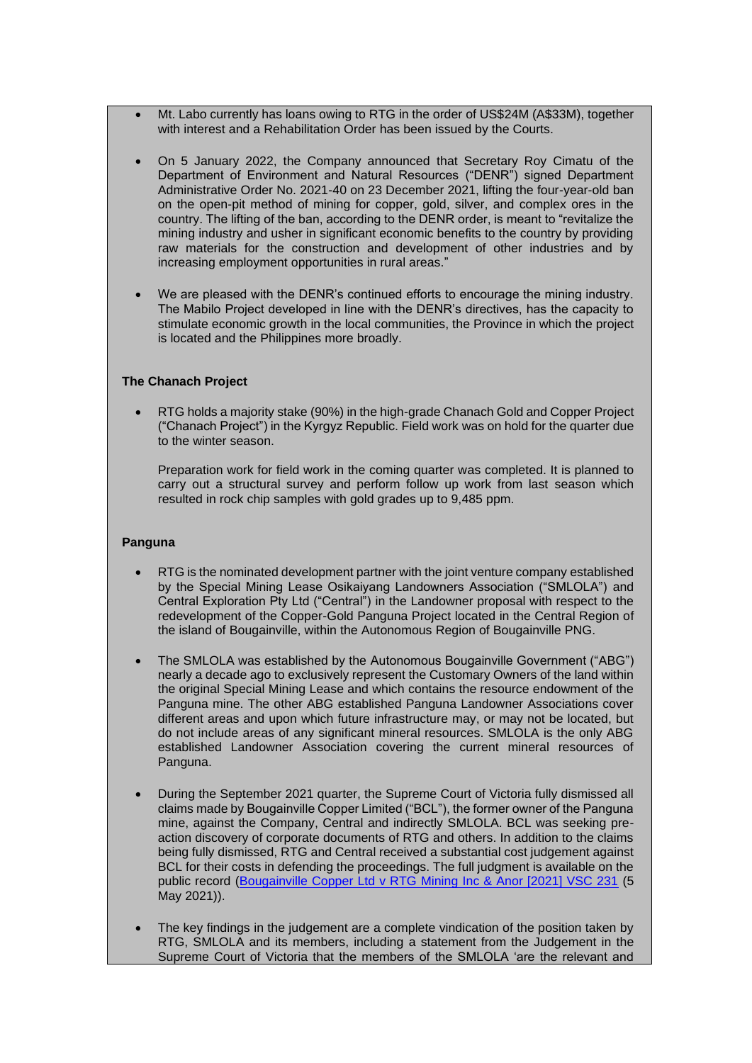- Mt. Labo currently has loans owing to RTG in the order of US\$24M (A\$33M), together with interest and a Rehabilitation Order has been issued by the Courts.
- On 5 January 2022, the Company announced that Secretary Roy Cimatu of the Department of Environment and Natural Resources ("DENR") signed Department Administrative Order No. 2021-40 on 23 December 2021, lifting the four-year-old ban on the open-pit method of mining for copper, gold, silver, and complex ores in the country. The lifting of the ban, according to the DENR order, is meant to "revitalize the mining industry and usher in significant economic benefits to the country by providing raw materials for the construction and development of other industries and by increasing employment opportunities in rural areas."
- We are pleased with the DENR's continued efforts to encourage the mining industry. The Mabilo Project developed in line with the DENR's directives, has the capacity to stimulate economic growth in the local communities, the Province in which the project is located and the Philippines more broadly.

#### **The Chanach Project**

• RTG holds a majority stake (90%) in the high-grade Chanach Gold and Copper Project ("Chanach Project") in the Kyrgyz Republic. Field work was on hold for the quarter due to the winter season.

Preparation work for field work in the coming quarter was completed. It is planned to carry out a structural survey and perform follow up work from last season which resulted in rock chip samples with gold grades up to 9,485 ppm.

#### **Panguna**

- RTG is the nominated development partner with the joint venture company established by the Special Mining Lease Osikaiyang Landowners Association ("SMLOLA") and Central Exploration Pty Ltd ("Central") in the Landowner proposal with respect to the redevelopment of the Copper-Gold Panguna Project located in the Central Region of the island of Bougainville, within the Autonomous Region of Bougainville PNG.
- The SMLOLA was established by the Autonomous Bougainville Government ("ABG") nearly a decade ago to exclusively represent the Customary Owners of the land within the original Special Mining Lease and which contains the resource endowment of the Panguna mine. The other ABG established Panguna Landowner Associations cover different areas and upon which future infrastructure may, or may not be located, but do not include areas of any significant mineral resources. SMLOLA is the only ABG established Landowner Association covering the current mineral resources of Panguna.
- During the September 2021 quarter, the Supreme Court of Victoria fully dismissed all claims made by Bougainville Copper Limited ("BCL"), the former owner of the Panguna mine, against the Company, Central and indirectly SMLOLA. BCL was seeking preaction discovery of corporate documents of RTG and others. In addition to the claims being fully dismissed, RTG and Central received a substantial cost judgement against BCL for their costs in defending the proceedings. The full judgment is available on the public record [\(Bougainville Copper Ltd v RTG Mining Inc & Anor \[2021\] VSC 231](https://aucc.sirsidynix.net.au/Judgments/VSC/2021/T0231.pdf) (5 May 2021)).
- The key findings in the judgement are a complete vindication of the position taken by RTG, SMLOLA and its members, including a statement from the Judgement in the Supreme Court of Victoria that the members of the SMLOLA 'are the relevant and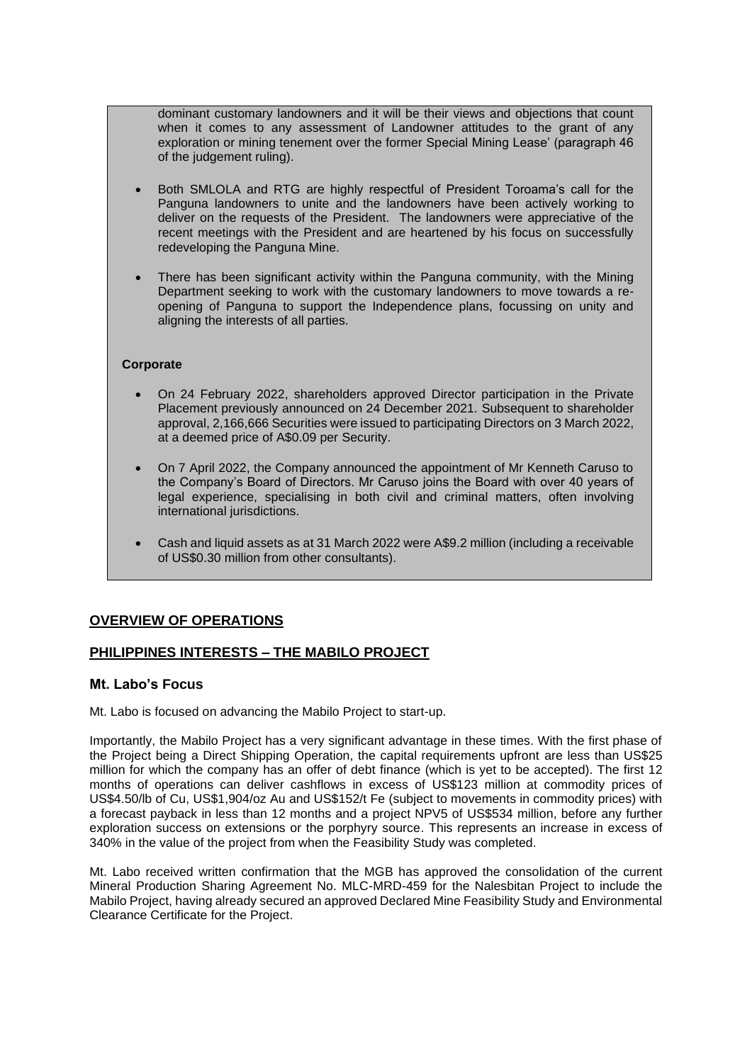dominant customary landowners and it will be their views and objections that count when it comes to any assessment of Landowner attitudes to the grant of any exploration or mining tenement over the former Special Mining Lease' (paragraph 46 of the judgement ruling).

- Both SMLOLA and RTG are highly respectful of President Toroama's call for the Panguna landowners to unite and the landowners have been actively working to deliver on the requests of the President. The landowners were appreciative of the recent meetings with the President and are heartened by his focus on successfully redeveloping the Panguna Mine.
- There has been significant activity within the Panguna community, with the Mining Department seeking to work with the customary landowners to move towards a reopening of Panguna to support the Independence plans, focussing on unity and aligning the interests of all parties.

#### **Corporate**

- On 24 February 2022, shareholders approved Director participation in the Private Placement previously announced on 24 December 2021. Subsequent to shareholder approval, 2,166,666 Securities were issued to participating Directors on 3 March 2022, at a deemed price of A\$0.09 per Security.
- On 7 April 2022, the Company announced the appointment of Mr Kenneth Caruso to the Company's Board of Directors. Mr Caruso joins the Board with over 40 years of legal experience, specialising in both civil and criminal matters, often involving international jurisdictions.
- Cash and liquid assets as at 31 March 2022 were A\$9.2 million (including a receivable of US\$0.30 million from other consultants).

## **OVERVIEW OF OPERATIONS**

## **PHILIPPINES INTERESTS – THE MABILO PROJECT**

## **Mt. Labo's Focus**

Mt. Labo is focused on advancing the Mabilo Project to start-up.

Importantly, the Mabilo Project has a very significant advantage in these times. With the first phase of the Project being a Direct Shipping Operation, the capital requirements upfront are less than US\$25 million for which the company has an offer of debt finance (which is yet to be accepted). The first 12 months of operations can deliver cashflows in excess of US\$123 million at commodity prices of US\$4.50/lb of Cu, US\$1,904/oz Au and US\$152/t Fe (subject to movements in commodity prices) with a forecast payback in less than 12 months and a project NPV5 of US\$534 million, before any further exploration success on extensions or the porphyry source. This represents an increase in excess of 340% in the value of the project from when the Feasibility Study was completed.

Mt. Labo received written confirmation that the MGB has approved the consolidation of the current Mineral Production Sharing Agreement No. MLC-MRD-459 for the Nalesbitan Project to include the Mabilo Project, having already secured an approved Declared Mine Feasibility Study and Environmental Clearance Certificate for the Project.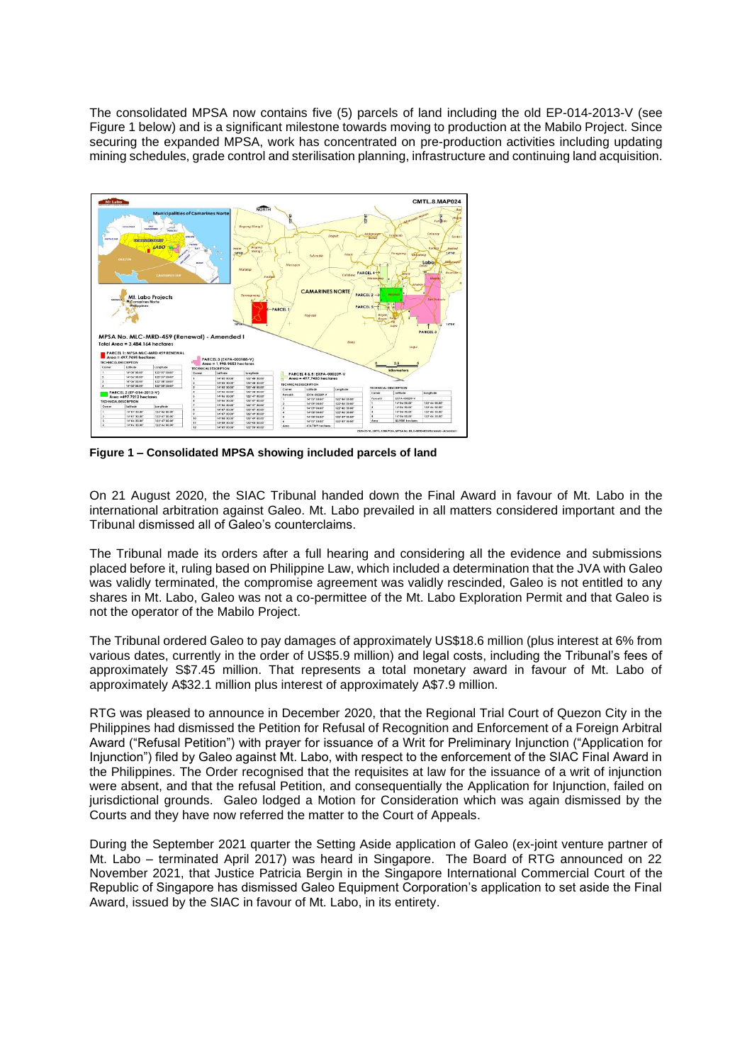The consolidated MPSA now contains five (5) parcels of land including the old EP-014-2013-V (see Figure 1 below) and is a significant milestone towards moving to production at the Mabilo Project. Since securing the expanded MPSA, work has concentrated on pre-production activities including updating mining schedules, grade control and sterilisation planning, infrastructure and continuing land acquisition.



**Figure 1 – Consolidated MPSA showing included parcels of land**

On 21 August 2020, the SIAC Tribunal handed down the Final Award in favour of Mt. Labo in the international arbitration against Galeo. Mt. Labo prevailed in all matters considered important and the Tribunal dismissed all of Galeo's counterclaims.

The Tribunal made its orders after a full hearing and considering all the evidence and submissions placed before it, ruling based on Philippine Law, which included a determination that the JVA with Galeo was validly terminated, the compromise agreement was validly rescinded, Galeo is not entitled to any shares in Mt. Labo, Galeo was not a co-permittee of the Mt. Labo Exploration Permit and that Galeo is not the operator of the Mabilo Project.

The Tribunal ordered Galeo to pay damages of approximately US\$18.6 million (plus interest at 6% from various dates, currently in the order of US\$5.9 million) and legal costs, including the Tribunal's fees of approximately S\$7.45 million. That represents a total monetary award in favour of Mt. Labo of approximately A\$32.1 million plus interest of approximately A\$7.9 million.

RTG was pleased to announce in December 2020, that the Regional Trial Court of Quezon City in the Philippines had dismissed the Petition for Refusal of Recognition and Enforcement of a Foreign Arbitral Award ("Refusal Petition") with prayer for issuance of a Writ for Preliminary Injunction ("Application for Injunction") filed by Galeo against Mt. Labo, with respect to the enforcement of the SIAC Final Award in the Philippines. The Order recognised that the requisites at law for the issuance of a writ of injunction were absent, and that the refusal Petition, and consequentially the Application for Injunction, failed on jurisdictional grounds. Galeo lodged a Motion for Consideration which was again dismissed by the Courts and they have now referred the matter to the Court of Appeals.

During the September 2021 quarter the Setting Aside application of Galeo (ex-joint venture partner of Mt. Labo – terminated April 2017) was heard in Singapore. The Board of RTG announced on 22 November 2021, that Justice Patricia Bergin in the Singapore International Commercial Court of the Republic of Singapore has dismissed Galeo Equipment Corporation's application to set aside the Final Award, issued by the SIAC in favour of Mt. Labo, in its entirety.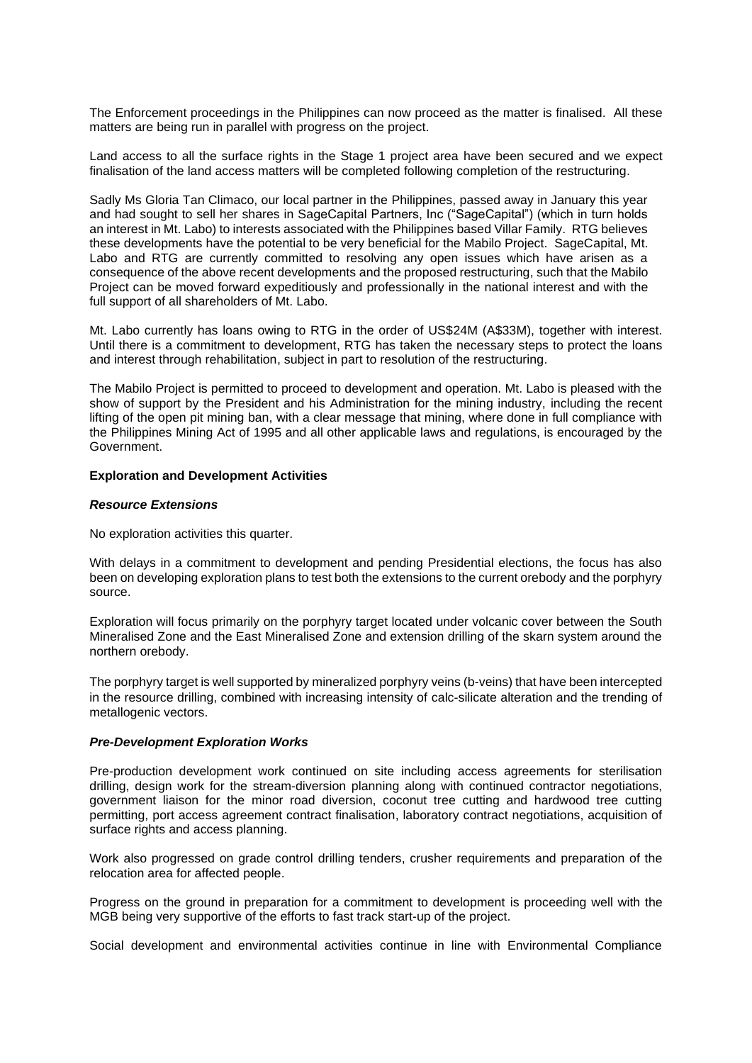The Enforcement proceedings in the Philippines can now proceed as the matter is finalised. All these matters are being run in parallel with progress on the project.

Land access to all the surface rights in the Stage 1 project area have been secured and we expect finalisation of the land access matters will be completed following completion of the restructuring.

Sadly Ms Gloria Tan Climaco, our local partner in the Philippines, passed away in January this year and had sought to sell her shares in SageCapital Partners, Inc ("SageCapital") (which in turn holds an interest in Mt. Labo) to interests associated with the Philippines based Villar Family. RTG believes these developments have the potential to be very beneficial for the Mabilo Project. SageCapital, Mt. Labo and RTG are currently committed to resolving any open issues which have arisen as a consequence of the above recent developments and the proposed restructuring, such that the Mabilo Project can be moved forward expeditiously and professionally in the national interest and with the full support of all shareholders of Mt. Labo.

Mt. Labo currently has loans owing to RTG in the order of US\$24M (A\$33M), together with interest. Until there is a commitment to development, RTG has taken the necessary steps to protect the loans and interest through rehabilitation, subject in part to resolution of the restructuring.

The Mabilo Project is permitted to proceed to development and operation. Mt. Labo is pleased with the show of support by the President and his Administration for the mining industry, including the recent lifting of the open pit mining ban, with a clear message that mining, where done in full compliance with the Philippines Mining Act of 1995 and all other applicable laws and regulations, is encouraged by the Government.

#### **Exploration and Development Activities**

#### *Resource Extensions*

No exploration activities this quarter.

With delays in a commitment to development and pending Presidential elections, the focus has also been on developing exploration plans to test both the extensions to the current orebody and the porphyry source.

Exploration will focus primarily on the porphyry target located under volcanic cover between the South Mineralised Zone and the East Mineralised Zone and extension drilling of the skarn system around the northern orebody.

The porphyry target is well supported by mineralized porphyry veins (b-veins) that have been intercepted in the resource drilling, combined with increasing intensity of calc-silicate alteration and the trending of metallogenic vectors.

#### *Pre-Development Exploration Works*

Pre-production development work continued on site including access agreements for sterilisation drilling, design work for the stream-diversion planning along with continued contractor negotiations, government liaison for the minor road diversion, coconut tree cutting and hardwood tree cutting permitting, port access agreement contract finalisation, laboratory contract negotiations, acquisition of surface rights and access planning.

Work also progressed on grade control drilling tenders, crusher requirements and preparation of the relocation area for affected people.

Progress on the ground in preparation for a commitment to development is proceeding well with the MGB being very supportive of the efforts to fast track start-up of the project.

Social development and environmental activities continue in line with Environmental Compliance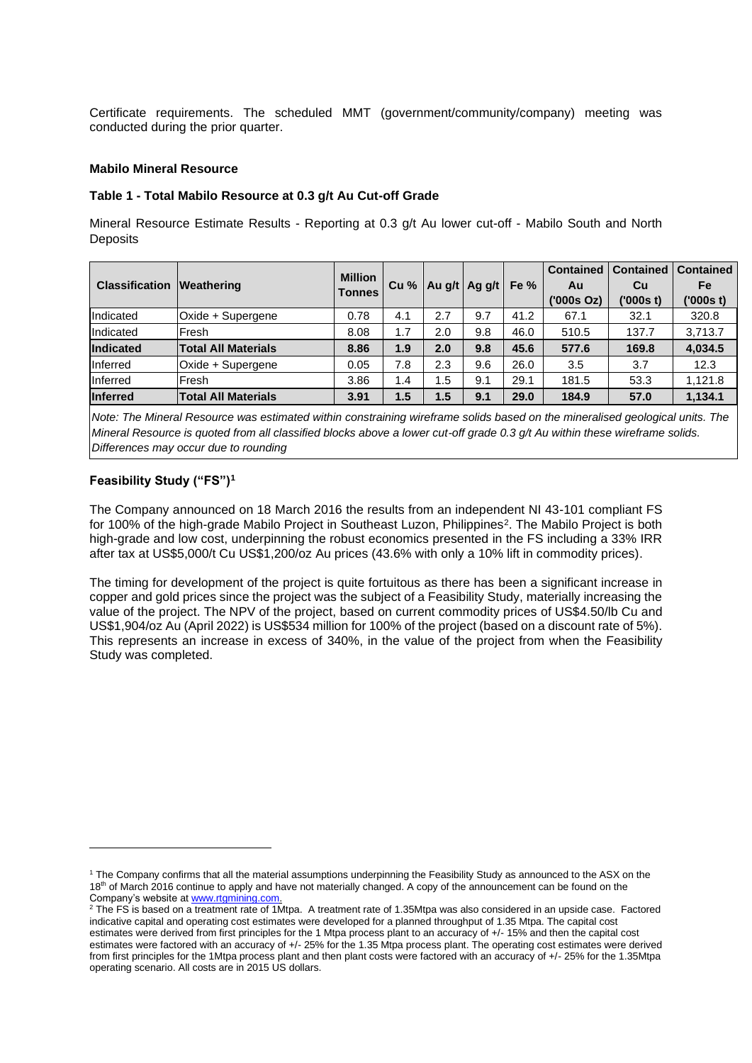Certificate requirements. The scheduled MMT (government/community/company) meeting was conducted during the prior quarter.

#### **Mabilo Mineral Resource**

#### **Table 1 - Total Mabilo Resource at 0.3 g/t Au Cut-off Grade**

Mineral Resource Estimate Results - Reporting at 0.3 g/t Au lower cut-off - Mabilo South and North **Deposits** 

| <b>Classification Weathering</b> |                            | <b>Million</b><br><b>Tonnes</b> | Cu <sub>%</sub> |     | Au g/t Ag g/t | Fe $%$ | <b>Contained</b><br>Au<br>(000s Oz) | <b>Contained</b><br>Cu<br>('000s t) | <b>Contained</b><br>Fe<br>('000s t) |
|----------------------------------|----------------------------|---------------------------------|-----------------|-----|---------------|--------|-------------------------------------|-------------------------------------|-------------------------------------|
| Indicated                        | Oxide + Supergene          | 0.78                            | 4.1             | 2.7 | 9.7           | 41.2   | 67.1                                | 32.1                                | 320.8                               |
| Indicated                        | Fresh                      | 8.08                            | 1.7             | 2.0 | 9.8           | 46.0   | 510.5                               | 137.7                               | 3,713.7                             |
| Indicated                        | <b>Total All Materials</b> | 8.86                            | 1.9             | 2.0 | 9.8           | 45.6   | 577.6                               | 169.8                               | 4,034.5                             |
| Inferred                         | Oxide + Supergene          | 0.05                            | 7.8             | 2.3 | 9.6           | 26.0   | 3.5                                 | 3.7                                 | 12.3                                |
| Inferred                         | Fresh                      | 3.86                            | 1.4             | 1.5 | 9.1           | 29.1   | 181.5                               | 53.3                                | 1,121.8                             |
| Inferred                         | <b>Total All Materials</b> | 3.91                            | 1.5             | 1.5 | 9.1           | 29.0   | 184.9                               | 57.0                                | 1,134.1                             |

*Note: The Mineral Resource was estimated within constraining wireframe solids based on the mineralised geological units. The Mineral Resource is quoted from all classified blocks above a lower cut-off grade 0.3 g/t Au within these wireframe solids. Differences may occur due to rounding*

#### **Feasibility Study ("FS")<sup>1</sup>**

The Company announced on 18 March 2016 the results from an independent NI 43-101 compliant FS for 100% of the high-grade Mabilo Project in Southeast Luzon, Philippines<sup>2</sup>. The Mabilo Project is both high-grade and low cost, underpinning the robust economics presented in the FS including a 33% IRR after tax at US\$5,000/t Cu US\$1,200/oz Au prices (43.6% with only a 10% lift in commodity prices).

The timing for development of the project is quite fortuitous as there has been a significant increase in copper and gold prices since the project was the subject of a Feasibility Study, materially increasing the value of the project. The NPV of the project, based on current commodity prices of US\$4.50/lb Cu and US\$1,904/oz Au (April 2022) is US\$534 million for 100% of the project (based on a discount rate of 5%). This represents an increase in excess of 340%, in the value of the project from when the Feasibility Study was completed.

<sup>1</sup> The Company confirms that all the material assumptions underpinning the Feasibility Study as announced to the ASX on the 18<sup>th</sup> of March 2016 continue to apply and have not materially changed. A copy of the announcement can be found on the Company's website a[t www.rtgmining.com.](http://www.rtgmining.com/)

 $2$  The FS is based on a treatment rate of 1Mtpa. A treatment rate of 1.35Mtpa was also considered in an upside case. Factored indicative capital and operating cost estimates were developed for a planned throughput of 1.35 Mtpa. The capital cost estimates were derived from first principles for the 1 Mtpa process plant to an accuracy of +/- 15% and then the capital cost estimates were factored with an accuracy of +/- 25% for the 1.35 Mtpa process plant. The operating cost estimates were derived from first principles for the 1Mtpa process plant and then plant costs were factored with an accuracy of +/- 25% for the 1.35Mtpa operating scenario. All costs are in 2015 US dollars.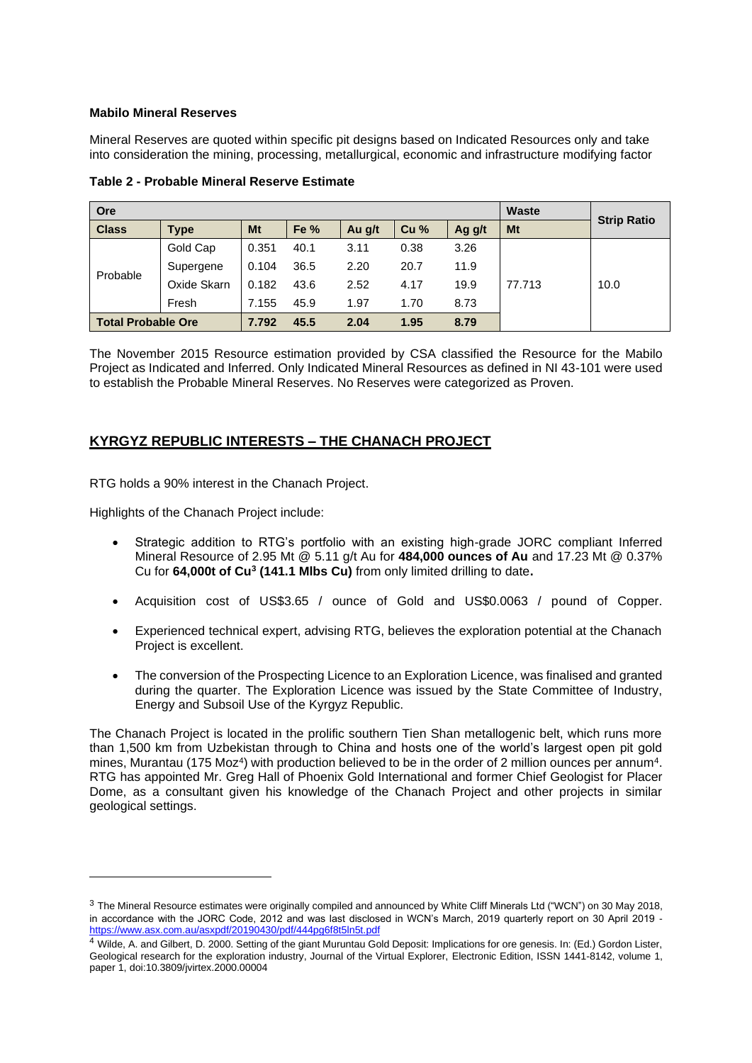#### **Mabilo Mineral Reserves**

Mineral Reserves are quoted within specific pit designs based on Indicated Resources only and take into consideration the mining, processing, metallurgical, economic and infrastructure modifying factor

| Ore                       |             |       |        |        |                 | <b>Waste</b> |        |                    |  |
|---------------------------|-------------|-------|--------|--------|-----------------|--------------|--------|--------------------|--|
| <b>Class</b>              | Type        | Mt    | Fe $%$ | Au g/t | Cu <sub>%</sub> | Ag g/t       | Mt     | <b>Strip Ratio</b> |  |
| Probable                  | Gold Cap    | 0.351 | 40.1   | 3.11   | 0.38            | 3.26         |        |                    |  |
|                           | Supergene   | 0.104 | 36.5   | 2.20   | 20.7            | 11.9         |        |                    |  |
|                           | Oxide Skarn | 0.182 | 43.6   | 2.52   | 4.17            | 19.9         | 77.713 | 10.0               |  |
|                           | Fresh       | 7.155 | 45.9   | 1.97   | 1.70            | 8.73         |        |                    |  |
| <b>Total Probable Ore</b> |             | 7.792 | 45.5   | 2.04   | 1.95            | 8.79         |        |                    |  |

#### **Table 2 - Probable Mineral Reserve Estimate**

The November 2015 Resource estimation provided by CSA classified the Resource for the Mabilo Project as Indicated and Inferred. Only Indicated Mineral Resources as defined in NI 43-101 were used to establish the Probable Mineral Reserves. No Reserves were categorized as Proven.

## **KYRGYZ REPUBLIC INTERESTS – THE CHANACH PROJECT**

RTG holds a 90% interest in the Chanach Project.

Highlights of the Chanach Project include:

- Strategic addition to RTG's portfolio with an existing high-grade JORC compliant Inferred Mineral Resource of 2.95 Mt @ 5.11 g/t Au for **484,000 ounces of Au** and 17.23 Mt @ 0.37% Cu for **64,000t of Cu<sup>3</sup> (141.1 Mlbs Cu)** from only limited drilling to date**.**
- Acquisition cost of US\$3.65 / ounce of Gold and US\$0.0063 / pound of Copper.
- Experienced technical expert, advising RTG, believes the exploration potential at the Chanach Project is excellent.
- The conversion of the Prospecting Licence to an Exploration Licence, was finalised and granted during the quarter. The Exploration Licence was issued by the State Committee of Industry, Energy and Subsoil Use of the Kyrgyz Republic.

The Chanach Project is located in the prolific southern Tien Shan metallogenic belt, which runs more than 1,500 km from Uzbekistan through to China and hosts one of the world's largest open pit gold mines, Murantau (175 Moz<sup>4</sup>) with production believed to be in the order of 2 million ounces per annum<sup>4</sup>. RTG has appointed Mr. Greg Hall of Phoenix Gold International and former Chief Geologist for Placer Dome, as a consultant given his knowledge of the Chanach Project and other projects in similar geological settings.

<sup>&</sup>lt;sup>3</sup> The Mineral Resource estimates were originally compiled and announced by White Cliff Minerals Ltd ("WCN") on 30 May 2018, in accordance with the JORC Code, 2012 and was last disclosed in WCN's March, 2019 quarterly report on 30 April 2019 <https://www.asx.com.au/asxpdf/20190430/pdf/444pg6f8t5ln5t.pdf>

<sup>4</sup> Wilde, A. and Gilbert, D. 2000. Setting of the giant Muruntau Gold Deposit: Implications for ore genesis. In: (Ed.) Gordon Lister, Geological research for the exploration industry, Journal of the Virtual Explorer, Electronic Edition, ISSN 1441-8142, volume 1, paper 1, doi:10.3809/jvirtex.2000.00004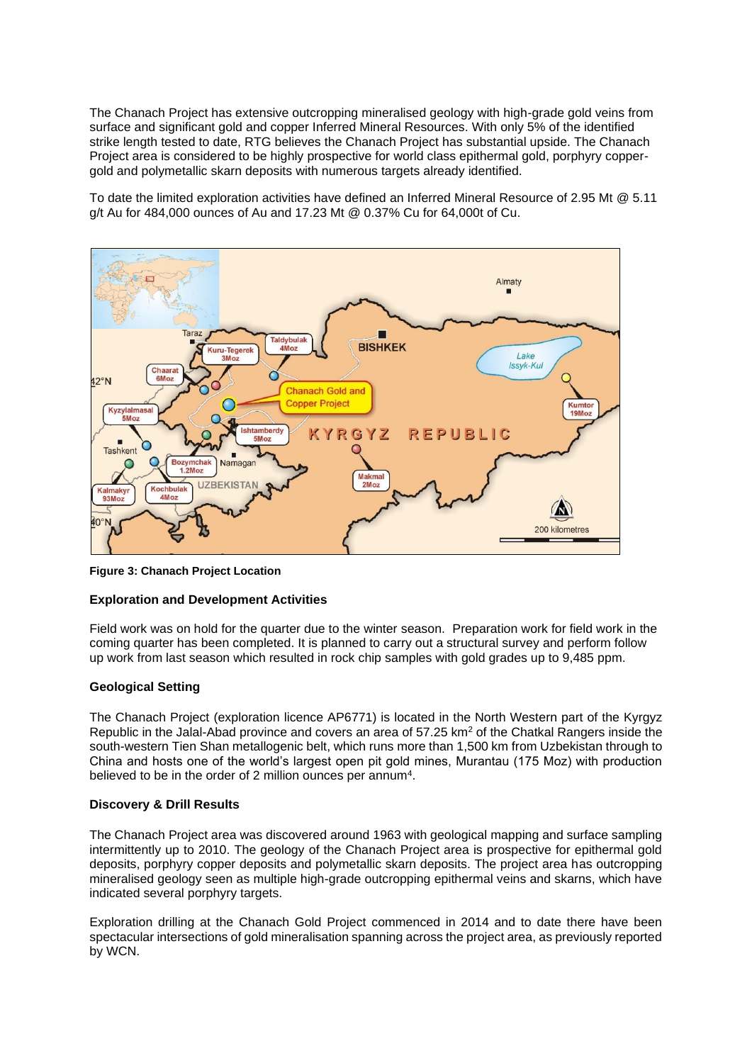The Chanach Project has extensive outcropping mineralised geology with high-grade gold veins from surface and significant gold and copper Inferred Mineral Resources. With only 5% of the identified strike length tested to date, RTG believes the Chanach Project has substantial upside. The Chanach Project area is considered to be highly prospective for world class epithermal gold, porphyry coppergold and polymetallic skarn deposits with numerous targets already identified.

To date the limited exploration activities have defined an Inferred Mineral Resource of 2.95 Mt @ 5.11 g/t Au for 484,000 ounces of Au and 17.23 Mt @ 0.37% Cu for 64,000t of Cu.



**Figure 3: Chanach Project Location**

## **Exploration and Development Activities**

Field work was on hold for the quarter due to the winter season. Preparation work for field work in the coming quarter has been completed. It is planned to carry out a structural survey and perform follow up work from last season which resulted in rock chip samples with gold grades up to 9,485 ppm.

## **Geological Setting**

The Chanach Project (exploration licence AP6771) is located in the North Western part of the Kyrgyz Republic in the Jalal-Abad province and covers an area of 57.25 km<sup>2</sup> of the Chatkal Rangers inside the south-western Tien Shan metallogenic belt, which runs more than 1,500 km from Uzbekistan through to China and hosts one of the world's largest open pit gold mines, Murantau (175 Moz) with production believed to be in the order of 2 million ounces per annum<sup>4</sup>.

## **Discovery & Drill Results**

The Chanach Project area was discovered around 1963 with geological mapping and surface sampling intermittently up to 2010. The geology of the Chanach Project area is prospective for epithermal gold deposits, porphyry copper deposits and polymetallic skarn deposits. The project area has outcropping mineralised geology seen as multiple high-grade outcropping epithermal veins and skarns, which have indicated several porphyry targets.

Exploration drilling at the Chanach Gold Project commenced in 2014 and to date there have been spectacular intersections of gold mineralisation spanning across the project area, as previously reported by WCN.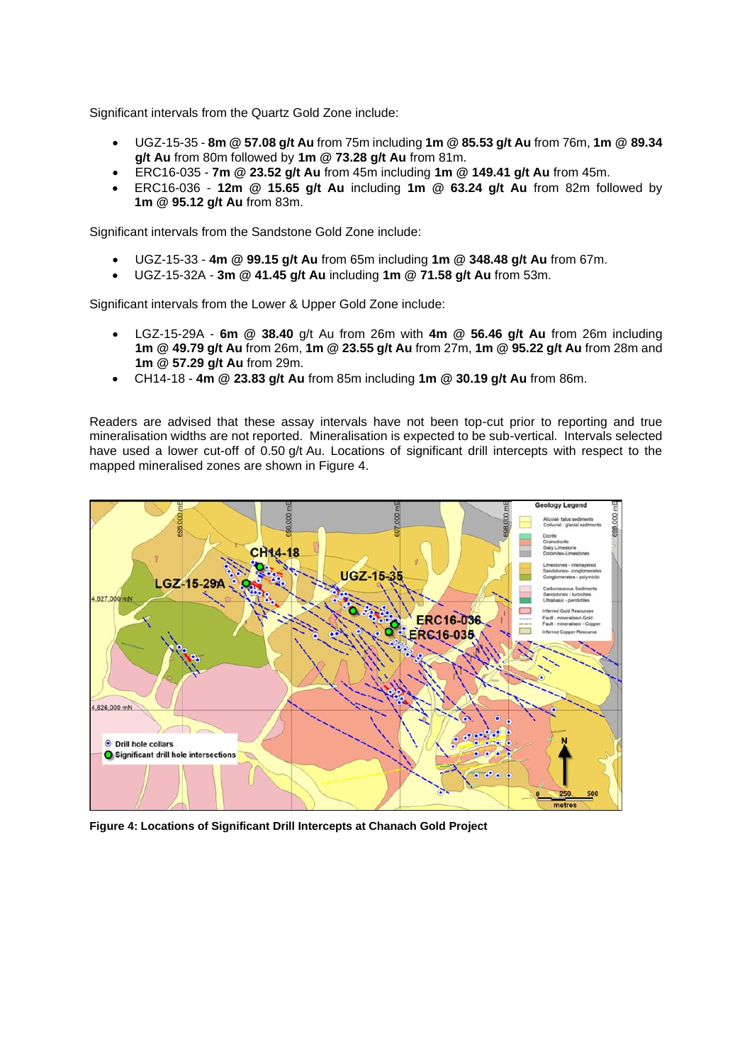Significant intervals from the Quartz Gold Zone include:

- UGZ-15-35 **8m @ 57.08 g/t Au** from 75m including **1m @ 85.53 g/t Au** from 76m, **1m @ 89.34 g/t Au** from 80m followed by **1m @ 73.28 g/t Au** from 81m.
- ERC16-035 **7m @ 23.52 g/t Au** from 45m including **1m @ 149.41 g/t Au** from 45m.
- ERC16-036 **12m @ 15.65 g/t Au** including **1m @ 63.24 g/t Au** from 82m followed by **1m @ 95.12 g/t Au** from 83m.

Significant intervals from the Sandstone Gold Zone include:

- UGZ-15-33 **4m @ 99.15 g/t Au** from 65m including **1m @ 348.48 g/t Au** from 67m.
- UGZ-15-32A **3m @ 41.45 g/t Au** including **1m @ 71.58 g/t Au** from 53m.

Significant intervals from the Lower & Upper Gold Zone include:

- LGZ-15-29A **6m @ 38.40** g/t Au from 26m with **4m @ 56.46 g/t Au** from 26m including **1m @ 49.79 g/t Au** from 26m, **1m @ 23.55 g/t Au** from 27m, **1m @ 95.22 g/t Au** from 28m and **1m @ 57.29 g/t Au** from 29m.
- CH14-18 **4m @ 23.83 g/t Au** from 85m including **1m @ 30.19 g/t Au** from 86m.

Readers are advised that these assay intervals have not been top-cut prior to reporting and true mineralisation widths are not reported. Mineralisation is expected to be sub-vertical. Intervals selected have used a lower cut-off of 0.50 g/t Au. Locations of significant drill intercepts with respect to the mapped mineralised zones are shown in Figure 4.



**Figure 4: Locations of Significant Drill Intercepts at Chanach Gold Project**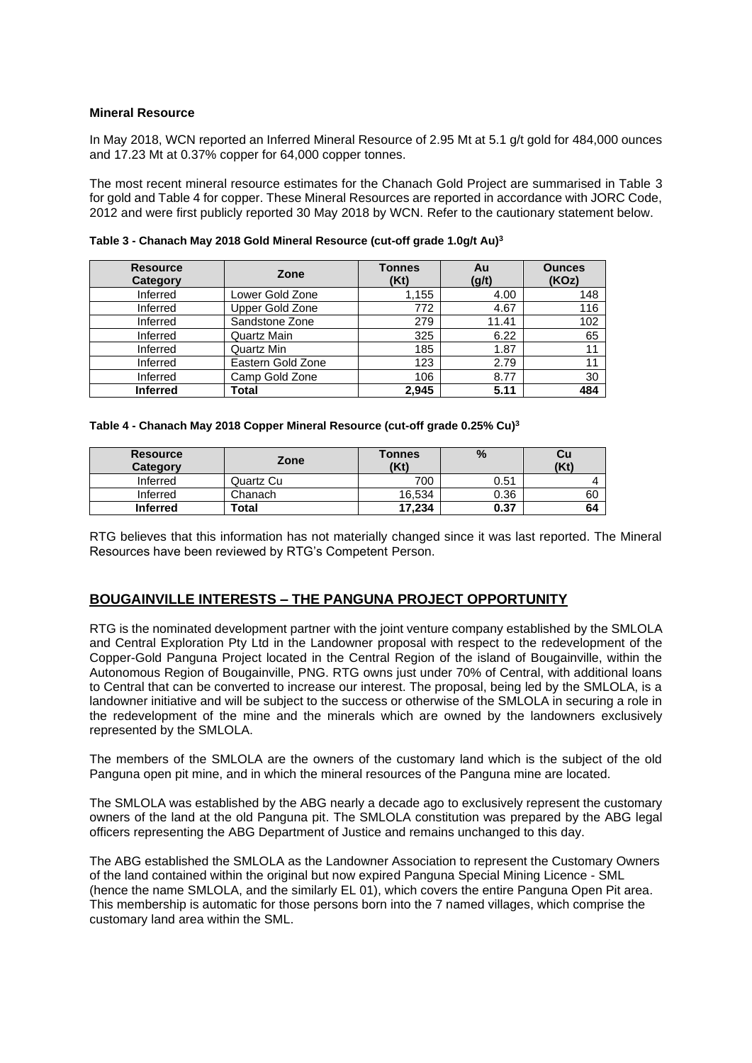#### **Mineral Resource**

In May 2018, WCN reported an Inferred Mineral Resource of 2.95 Mt at 5.1 g/t gold for 484,000 ounces and 17.23 Mt at 0.37% copper for 64,000 copper tonnes.

The most recent mineral resource estimates for the Chanach Gold Project are summarised in Table 3 for gold and Table 4 for copper. These Mineral Resources are reported in accordance with JORC Code, 2012 and were first publicly reported 30 May 2018 by WCN. Refer to the cautionary statement below.

| <b>Resource</b><br>Category | Zone              | <b>Tonnes</b><br>(Kt) | Au<br>(g/t) | <b>Ounces</b><br>(KOz) |
|-----------------------------|-------------------|-----------------------|-------------|------------------------|
| Inferred                    | Lower Gold Zone   | 1,155                 | 4.00        | 148                    |
| Inferred                    | Upper Gold Zone   | 772                   | 4.67        | 116                    |
| Inferred                    | Sandstone Zone    | 279                   | 11.41       | 102                    |
| Inferred                    | Quartz Main       | 325                   | 6.22        | 65                     |
| Inferred                    | Quartz Min        | 185                   | 1.87        |                        |
| Inferred                    | Eastern Gold Zone | 123                   | 2.79        | 11                     |
| Inferred                    | Camp Gold Zone    | 106                   | 8.77        | 30                     |
| <b>Inferred</b>             | Total             | 2.945                 | 5.11        | 484                    |

**Table 3 - Chanach May 2018 Gold Mineral Resource (cut-off grade 1.0g/t Au)<sup>3</sup>**

| Table 4 - Chanach May 2018 Copper Mineral Resource (cut-off grade 0.25% Cu) <sup>3</sup> |  |  |
|------------------------------------------------------------------------------------------|--|--|

| <b>Resource</b><br>Category | Zone      | Tonnes<br>(Kt) | $\frac{0}{2}$ | Cu<br>(Kt) |
|-----------------------------|-----------|----------------|---------------|------------|
| Inferred                    | Quartz Cu | 700            | 0.51          |            |
| Inferred                    | Chanach   | 16.534         | 0.36          | 60         |
| <b>Inferred</b>             | Total     | 17.234         | 0.37          | 64         |

RTG believes that this information has not materially changed since it was last reported. The Mineral Resources have been reviewed by RTG's Competent Person.

## **BOUGAINVILLE INTERESTS – THE PANGUNA PROJECT OPPORTUNITY**

RTG is the nominated development partner with the joint venture company established by the SMLOLA and Central Exploration Pty Ltd in the Landowner proposal with respect to the redevelopment of the Copper-Gold Panguna Project located in the Central Region of the island of Bougainville, within the Autonomous Region of Bougainville, PNG. RTG owns just under 70% of Central, with additional loans to Central that can be converted to increase our interest. The proposal, being led by the SMLOLA, is a landowner initiative and will be subject to the success or otherwise of the SMLOLA in securing a role in the redevelopment of the mine and the minerals which are owned by the landowners exclusively represented by the SMLOLA.

The members of the SMLOLA are the owners of the customary land which is the subject of the old Panguna open pit mine, and in which the mineral resources of the Panguna mine are located.

The SMLOLA was established by the ABG nearly a decade ago to exclusively represent the customary owners of the land at the old Panguna pit. The SMLOLA constitution was prepared by the ABG legal officers representing the ABG Department of Justice and remains unchanged to this day.

The ABG established the SMLOLA as the Landowner Association to represent the Customary Owners of the land contained within the original but now expired Panguna Special Mining Licence - SML (hence the name SMLOLA, and the similarly EL 01), which covers the entire Panguna Open Pit area. This membership is automatic for those persons born into the 7 named villages, which comprise the customary land area within the SML.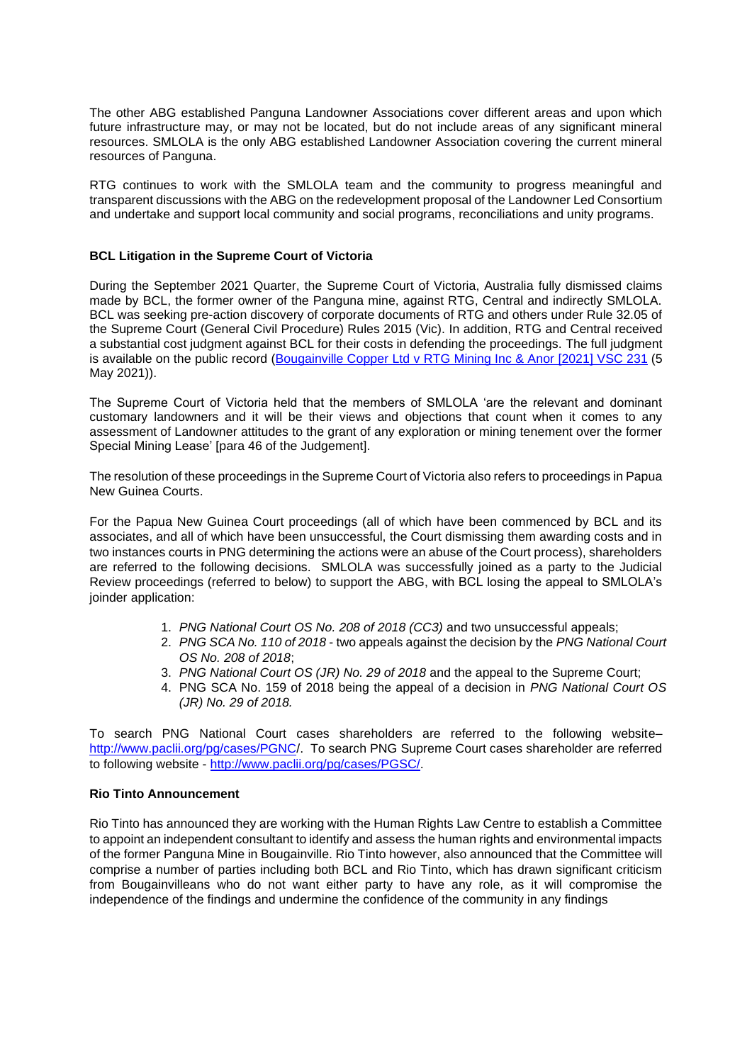The other ABG established Panguna Landowner Associations cover different areas and upon which future infrastructure may, or may not be located, but do not include areas of any significant mineral resources. SMLOLA is the only ABG established Landowner Association covering the current mineral resources of Panguna.

RTG continues to work with the SMLOLA team and the community to progress meaningful and transparent discussions with the ABG on the redevelopment proposal of the Landowner Led Consortium and undertake and support local community and social programs, reconciliations and unity programs.

#### **BCL Litigation in the Supreme Court of Victoria**

During the September 2021 Quarter, the Supreme Court of Victoria, Australia fully dismissed claims made by BCL, the former owner of the Panguna mine, against RTG, Central and indirectly SMLOLA. BCL was seeking pre-action discovery of corporate documents of RTG and others under Rule 32.05 of the Supreme Court (General Civil Procedure) Rules 2015 (Vic). In addition, RTG and Central received a substantial cost judgment against BCL for their costs in defending the proceedings. The full judgment is available on the public record [\(Bougainville Copper Ltd v RTG Mining Inc & Anor](https://aucc.sirsidynix.net.au/Judgments/VSC/2021/T0231.pdf) [2021] VSC 231 (5 May 2021)).

The Supreme Court of Victoria held that the members of SMLOLA 'are the relevant and dominant customary landowners and it will be their views and objections that count when it comes to any assessment of Landowner attitudes to the grant of any exploration or mining tenement over the former Special Mining Lease' [para 46 of the Judgement].

The resolution of these proceedings in the Supreme Court of Victoria also refers to proceedings in Papua New Guinea Courts.

For the Papua New Guinea Court proceedings (all of which have been commenced by BCL and its associates, and all of which have been unsuccessful, the Court dismissing them awarding costs and in two instances courts in PNG determining the actions were an abuse of the Court process), shareholders are referred to the following decisions. SMLOLA was successfully joined as a party to the Judicial Review proceedings (referred to below) to support the ABG, with BCL losing the appeal to SMLOLA's joinder application:

- 1. *PNG National Court OS No. 208 of 2018 (CC3)* and two unsuccessful appeals;
- 2. *PNG SCA No. 110 of 2018* two appeals against the decision by the *PNG National Court OS No. 208 of 2018*;
- 3. *PNG National Court OS (JR) No. 29 of 2018* and the appeal to the Supreme Court;
- 4. PNG SCA No. 159 of 2018 being the appeal of a decision in *PNG National Court OS (JR) No. 29 of 2018.*

To search PNG National Court cases shareholders are referred to the following website– [http://www.paclii.org/pg/cases/PGNC/](http://www.paclii.org/pg/cases/PGNC). To search PNG Supreme Court cases shareholder are referred to following website - [http://www.paclii.org/pg/cases/PGSC/.](http://www.paclii.org/pg/cases/PGSC/)

#### **Rio Tinto Announcement**

Rio Tinto has announced they are working with the Human Rights Law Centre to establish a Committee to appoint an independent consultant to identify and assess the human rights and environmental impacts of the former Panguna Mine in Bougainville. Rio Tinto however, also announced that the Committee will comprise a number of parties including both BCL and Rio Tinto, which has drawn significant criticism from Bougainvilleans who do not want either party to have any role, as it will compromise the independence of the findings and undermine the confidence of the community in any findings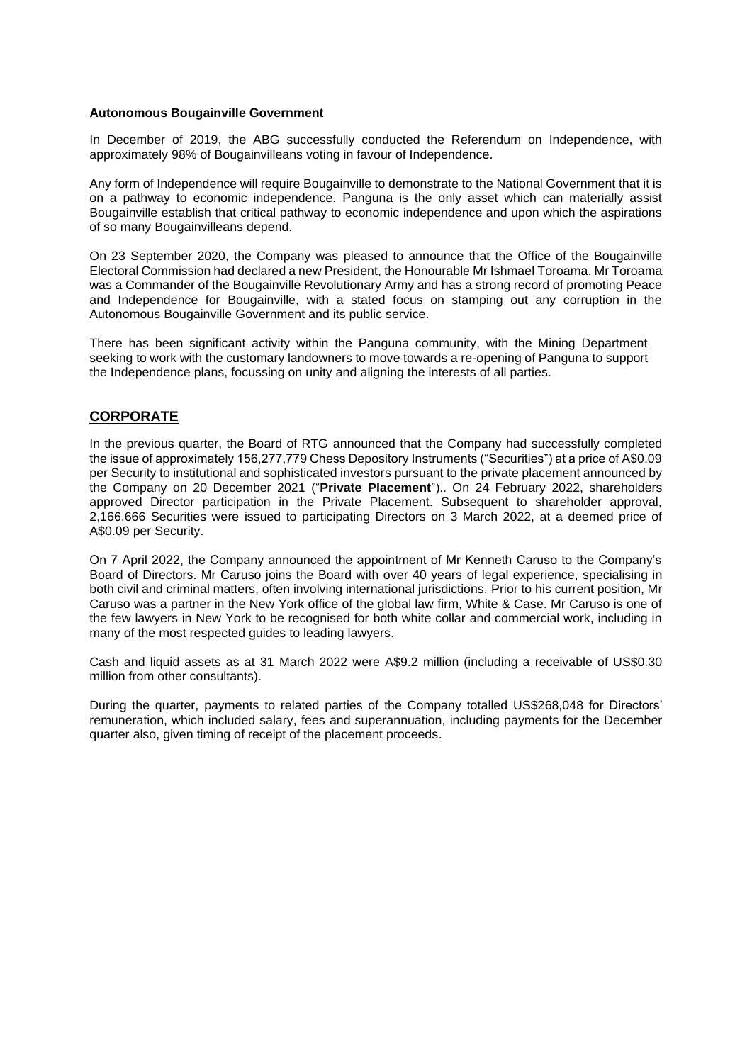#### **Autonomous Bougainville Government**

In December of 2019, the ABG successfully conducted the Referendum on Independence, with approximately 98% of Bougainvilleans voting in favour of Independence.

Any form of Independence will require Bougainville to demonstrate to the National Government that it is on a pathway to economic independence. Panguna is the only asset which can materially assist Bougainville establish that critical pathway to economic independence and upon which the aspirations of so many Bougainvilleans depend.

On 23 September 2020, the Company was pleased to announce that the Office of the Bougainville Electoral Commission had declared a new President, the Honourable Mr Ishmael Toroama. Mr Toroama was a Commander of the Bougainville Revolutionary Army and has a strong record of promoting Peace and Independence for Bougainville, with a stated focus on stamping out any corruption in the Autonomous Bougainville Government and its public service.

There has been significant activity within the Panguna community, with the Mining Department seeking to work with the customary landowners to move towards a re-opening of Panguna to support the Independence plans, focussing on unity and aligning the interests of all parties.

## **CORPORATE**

In the previous quarter, the Board of RTG announced that the Company had successfully completed the issue of approximately 156,277,779 Chess Depository Instruments ("Securities") at a price of A\$0.09 per Security to institutional and sophisticated investors pursuant to the private placement announced by the Company on 20 December 2021 ("**Private Placement**").. On 24 February 2022, shareholders approved Director participation in the Private Placement. Subsequent to shareholder approval, 2,166,666 Securities were issued to participating Directors on 3 March 2022, at a deemed price of A\$0.09 per Security.

On 7 April 2022, the Company announced the appointment of Mr Kenneth Caruso to the Company's Board of Directors. Mr Caruso joins the Board with over 40 years of legal experience, specialising in both civil and criminal matters, often involving international jurisdictions. Prior to his current position, Mr Caruso was a partner in the New York office of the global law firm, White & Case. Mr Caruso is one of the few lawyers in New York to be recognised for both white collar and commercial work, including in many of the most respected guides to leading lawyers.

Cash and liquid assets as at 31 March 2022 were A\$9.2 million (including a receivable of US\$0.30 million from other consultants).

During the quarter, payments to related parties of the Company totalled US\$268,048 for Directors' remuneration, which included salary, fees and superannuation, including payments for the December quarter also, given timing of receipt of the placement proceeds.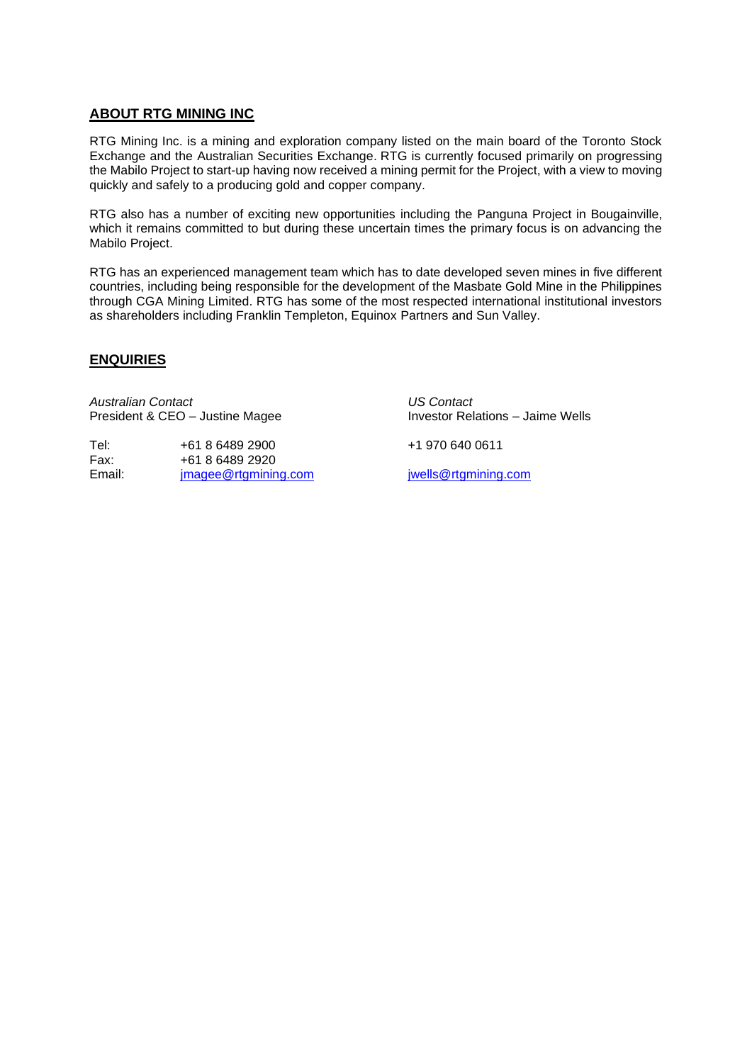## **ABOUT RTG MINING INC**

RTG Mining Inc. is a mining and exploration company listed on the main board of the Toronto Stock Exchange and the Australian Securities Exchange. RTG is currently focused primarily on progressing the Mabilo Project to start-up having now received a mining permit for the Project, with a view to moving quickly and safely to a producing gold and copper company.

RTG also has a number of exciting new opportunities including the Panguna Project in Bougainville, which it remains committed to but during these uncertain times the primary focus is on advancing the Mabilo Project.

RTG has an experienced management team which has to date developed seven mines in five different countries, including being responsible for the development of the Masbate Gold Mine in the Philippines through CGA Mining Limited. RTG has some of the most respected international institutional investors as shareholders including Franklin Templeton, Equinox Partners and Sun Valley.

## **ENQUIRIES**

*Australian Contact US Contact* President & CEO – Justine Magee

Tel: +61 8 6489 2900 +1 970 640 0611 Fax: +61 8 6489 2920 Email: [jmagee@rtgmining.com](mailto:jmagee@rtgmining.com) [jwells@rtgmining.com](mailto:jwells@rtgmining.com)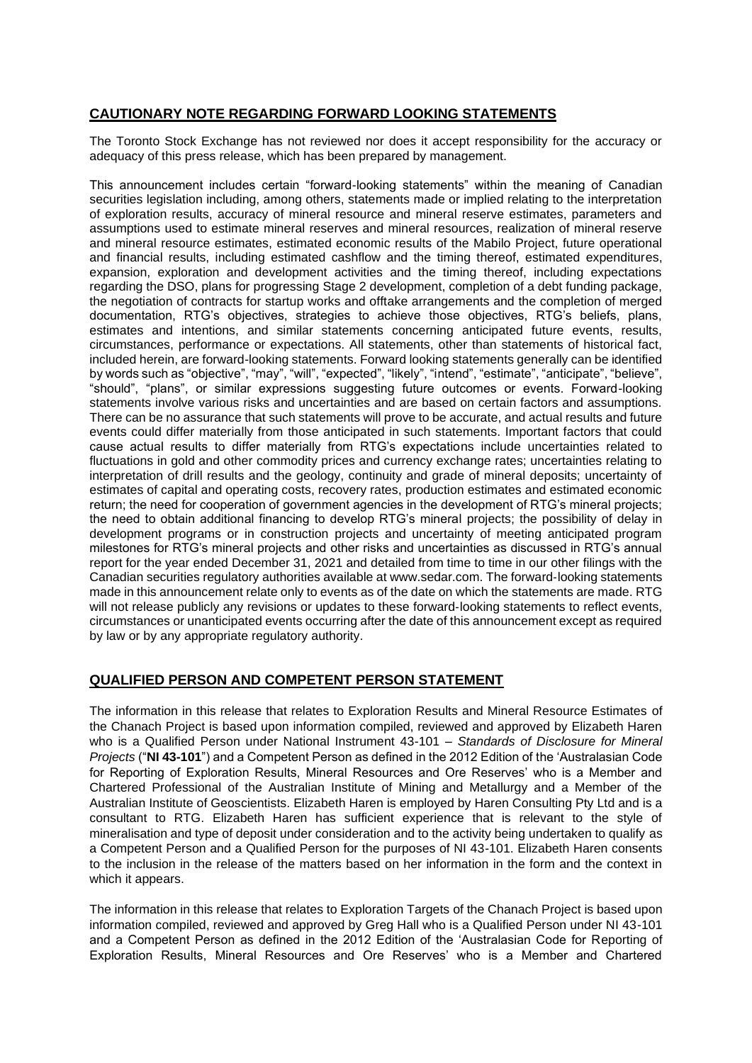## **CAUTIONARY NOTE REGARDING FORWARD LOOKING STATEMENTS**

The Toronto Stock Exchange has not reviewed nor does it accept responsibility for the accuracy or adequacy of this press release, which has been prepared by management.

This announcement includes certain "forward-looking statements" within the meaning of Canadian securities legislation including, among others, statements made or implied relating to the interpretation of exploration results, accuracy of mineral resource and mineral reserve estimates, parameters and assumptions used to estimate mineral reserves and mineral resources, realization of mineral reserve and mineral resource estimates, estimated economic results of the Mabilo Project, future operational and financial results, including estimated cashflow and the timing thereof, estimated expenditures, expansion, exploration and development activities and the timing thereof, including expectations regarding the DSO, plans for progressing Stage 2 development, completion of a debt funding package, the negotiation of contracts for startup works and offtake arrangements and the completion of merged documentation, RTG's objectives, strategies to achieve those objectives, RTG's beliefs, plans, estimates and intentions, and similar statements concerning anticipated future events, results, circumstances, performance or expectations. All statements, other than statements of historical fact, included herein, are forward-looking statements. Forward looking statements generally can be identified by words such as "objective", "may", "will", "expected", "likely", "intend", "estimate", "anticipate", "believe", "should", "plans", or similar expressions suggesting future outcomes or events. Forward-looking statements involve various risks and uncertainties and are based on certain factors and assumptions. There can be no assurance that such statements will prove to be accurate, and actual results and future events could differ materially from those anticipated in such statements. Important factors that could cause actual results to differ materially from RTG's expectations include uncertainties related to fluctuations in gold and other commodity prices and currency exchange rates; uncertainties relating to interpretation of drill results and the geology, continuity and grade of mineral deposits; uncertainty of estimates of capital and operating costs, recovery rates, production estimates and estimated economic return; the need for cooperation of government agencies in the development of RTG's mineral projects; the need to obtain additional financing to develop RTG's mineral projects; the possibility of delay in development programs or in construction projects and uncertainty of meeting anticipated program milestones for RTG's mineral projects and other risks and uncertainties as discussed in RTG's annual report for the year ended December 31, 2021 and detailed from time to time in our other filings with the Canadian securities regulatory authorities available at www.sedar.com. The forward‐looking statements made in this announcement relate only to events as of the date on which the statements are made. RTG will not release publicly any revisions or updates to these forward-looking statements to reflect events, circumstances or unanticipated events occurring after the date of this announcement except as required by law or by any appropriate regulatory authority.

## **QUALIFIED PERSON AND COMPETENT PERSON STATEMENT**

The information in this release that relates to Exploration Results and Mineral Resource Estimates of the Chanach Project is based upon information compiled, reviewed and approved by Elizabeth Haren who is a Qualified Person under National Instrument 43-101 – *Standards of Disclosure for Mineral Projects* ("**NI 43-101**") and a Competent Person as defined in the 2012 Edition of the 'Australasian Code for Reporting of Exploration Results, Mineral Resources and Ore Reserves' who is a Member and Chartered Professional of the Australian Institute of Mining and Metallurgy and a Member of the Australian Institute of Geoscientists. Elizabeth Haren is employed by Haren Consulting Pty Ltd and is a consultant to RTG. Elizabeth Haren has sufficient experience that is relevant to the style of mineralisation and type of deposit under consideration and to the activity being undertaken to qualify as a Competent Person and a Qualified Person for the purposes of NI 43-101. Elizabeth Haren consents to the inclusion in the release of the matters based on her information in the form and the context in which it appears.

The information in this release that relates to Exploration Targets of the Chanach Project is based upon information compiled, reviewed and approved by Greg Hall who is a Qualified Person under NI 43-101 and a Competent Person as defined in the 2012 Edition of the 'Australasian Code for Reporting of Exploration Results, Mineral Resources and Ore Reserves' who is a Member and Chartered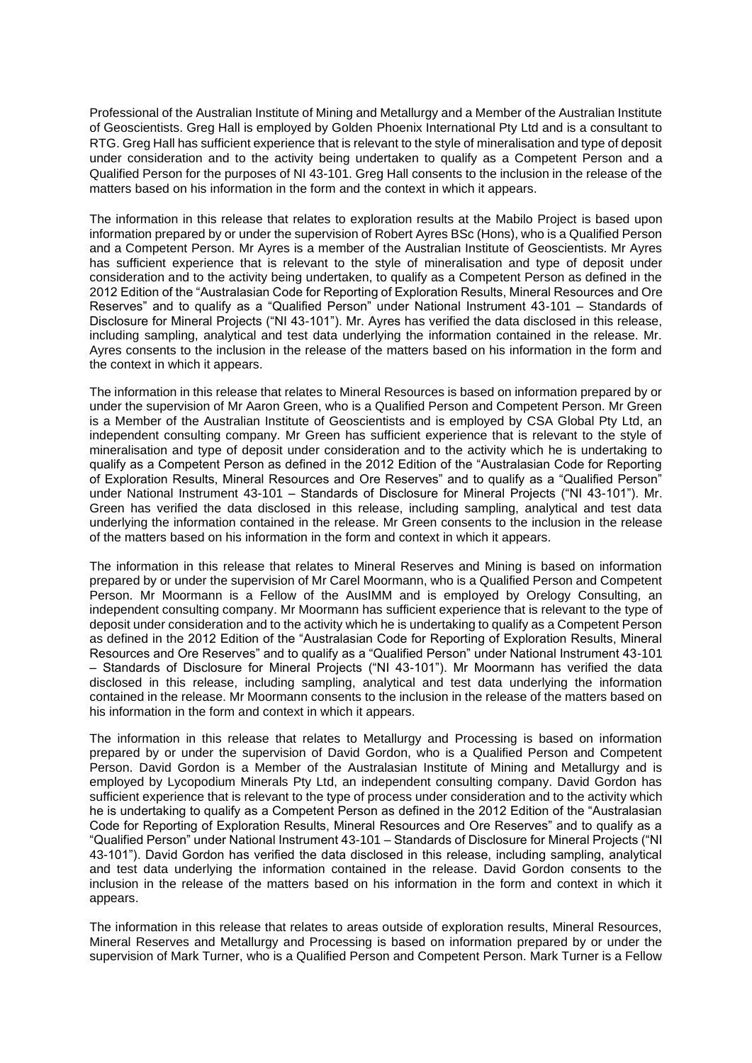Professional of the Australian Institute of Mining and Metallurgy and a Member of the Australian Institute of Geoscientists. Greg Hall is employed by Golden Phoenix International Pty Ltd and is a consultant to RTG. Greg Hall has sufficient experience that is relevant to the style of mineralisation and type of deposit under consideration and to the activity being undertaken to qualify as a Competent Person and a Qualified Person for the purposes of NI 43-101. Greg Hall consents to the inclusion in the release of the matters based on his information in the form and the context in which it appears.

The information in this release that relates to exploration results at the Mabilo Project is based upon information prepared by or under the supervision of Robert Ayres BSc (Hons), who is a Qualified Person and a Competent Person. Mr Ayres is a member of the Australian Institute of Geoscientists. Mr Ayres has sufficient experience that is relevant to the style of mineralisation and type of deposit under consideration and to the activity being undertaken, to qualify as a Competent Person as defined in the 2012 Edition of the "Australasian Code for Reporting of Exploration Results, Mineral Resources and Ore Reserves" and to qualify as a "Qualified Person" under National Instrument 43-101 – Standards of Disclosure for Mineral Projects ("NI 43-101"). Mr. Ayres has verified the data disclosed in this release, including sampling, analytical and test data underlying the information contained in the release. Mr. Ayres consents to the inclusion in the release of the matters based on his information in the form and the context in which it appears.

The information in this release that relates to Mineral Resources is based on information prepared by or under the supervision of Mr Aaron Green, who is a Qualified Person and Competent Person. Mr Green is a Member of the Australian Institute of Geoscientists and is employed by CSA Global Pty Ltd, an independent consulting company. Mr Green has sufficient experience that is relevant to the style of mineralisation and type of deposit under consideration and to the activity which he is undertaking to qualify as a Competent Person as defined in the 2012 Edition of the "Australasian Code for Reporting of Exploration Results, Mineral Resources and Ore Reserves" and to qualify as a "Qualified Person" under National Instrument 43-101 – Standards of Disclosure for Mineral Projects ("NI 43-101"). Mr. Green has verified the data disclosed in this release, including sampling, analytical and test data underlying the information contained in the release. Mr Green consents to the inclusion in the release of the matters based on his information in the form and context in which it appears.

The information in this release that relates to Mineral Reserves and Mining is based on information prepared by or under the supervision of Mr Carel Moormann, who is a Qualified Person and Competent Person. Mr Moormann is a Fellow of the AusIMM and is employed by Orelogy Consulting, an independent consulting company. Mr Moormann has sufficient experience that is relevant to the type of deposit under consideration and to the activity which he is undertaking to qualify as a Competent Person as defined in the 2012 Edition of the "Australasian Code for Reporting of Exploration Results, Mineral Resources and Ore Reserves" and to qualify as a "Qualified Person" under National Instrument 43-101 – Standards of Disclosure for Mineral Projects ("NI 43-101"). Mr Moormann has verified the data disclosed in this release, including sampling, analytical and test data underlying the information contained in the release. Mr Moormann consents to the inclusion in the release of the matters based on his information in the form and context in which it appears.

The information in this release that relates to Metallurgy and Processing is based on information prepared by or under the supervision of David Gordon, who is a Qualified Person and Competent Person. David Gordon is a Member of the Australasian Institute of Mining and Metallurgy and is employed by Lycopodium Minerals Pty Ltd, an independent consulting company. David Gordon has sufficient experience that is relevant to the type of process under consideration and to the activity which he is undertaking to qualify as a Competent Person as defined in the 2012 Edition of the "Australasian Code for Reporting of Exploration Results, Mineral Resources and Ore Reserves" and to qualify as a "Qualified Person" under National Instrument 43-101 – Standards of Disclosure for Mineral Projects ("NI 43-101"). David Gordon has verified the data disclosed in this release, including sampling, analytical and test data underlying the information contained in the release. David Gordon consents to the inclusion in the release of the matters based on his information in the form and context in which it appears.

The information in this release that relates to areas outside of exploration results, Mineral Resources, Mineral Reserves and Metallurgy and Processing is based on information prepared by or under the supervision of Mark Turner, who is a Qualified Person and Competent Person. Mark Turner is a Fellow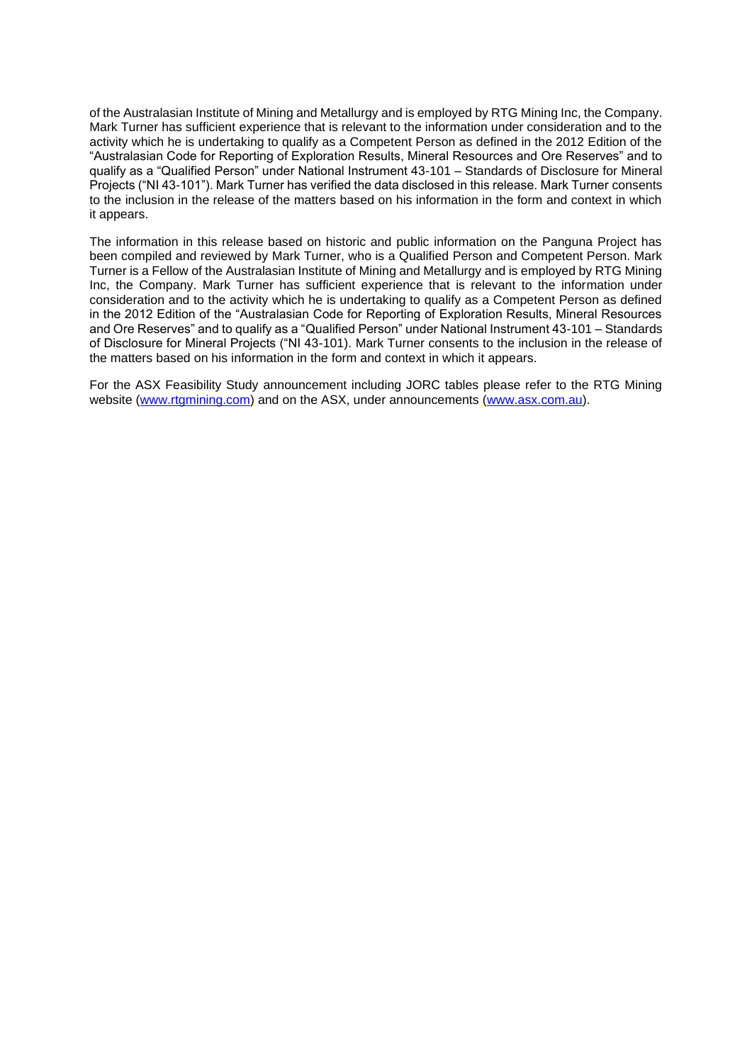of the Australasian Institute of Mining and Metallurgy and is employed by RTG Mining Inc, the Company. Mark Turner has sufficient experience that is relevant to the information under consideration and to the activity which he is undertaking to qualify as a Competent Person as defined in the 2012 Edition of the "Australasian Code for Reporting of Exploration Results, Mineral Resources and Ore Reserves" and to qualify as a "Qualified Person" under National Instrument 43-101 – Standards of Disclosure for Mineral Projects ("NI 43-101"). Mark Turner has verified the data disclosed in this release. Mark Turner consents to the inclusion in the release of the matters based on his information in the form and context in which it appears.

The information in this release based on historic and public information on the Panguna Project has been compiled and reviewed by Mark Turner, who is a Qualified Person and Competent Person. Mark Turner is a Fellow of the Australasian Institute of Mining and Metallurgy and is employed by RTG Mining Inc, the Company. Mark Turner has sufficient experience that is relevant to the information under consideration and to the activity which he is undertaking to qualify as a Competent Person as defined in the 2012 Edition of the "Australasian Code for Reporting of Exploration Results, Mineral Resources and Ore Reserves" and to qualify as a "Qualified Person" under National Instrument 43-101 – Standards of Disclosure for Mineral Projects ("NI 43-101). Mark Turner consents to the inclusion in the release of the matters based on his information in the form and context in which it appears.

For the ASX Feasibility Study announcement including JORC tables please refer to the RTG Mining website [\(www.rtgmining.com\)](http://www.rtgmining.com/) and on the ASX, under announcements [\(www.asx.com.au\)](http://www.asx.com.au/).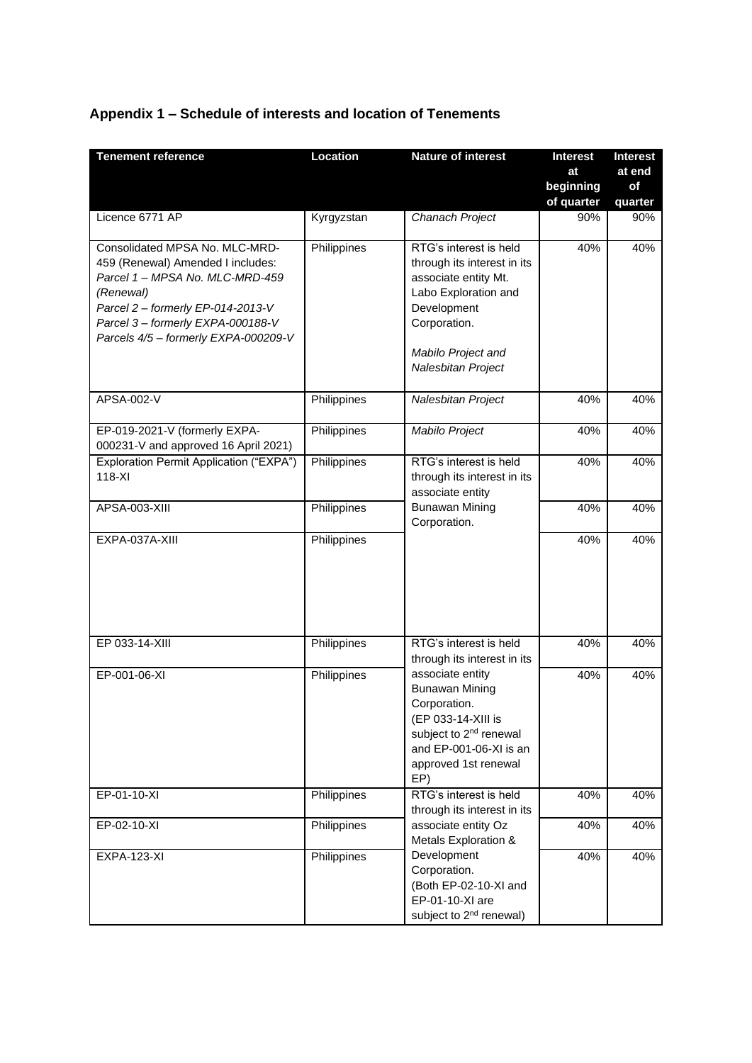# **Appendix 1 – Schedule of interests and location of Tenements**

| <b>Tenement reference</b>                           | Location    | <b>Nature of interest</b>                                    | <b>Interest</b> | <b>Interest</b> |
|-----------------------------------------------------|-------------|--------------------------------------------------------------|-----------------|-----------------|
|                                                     |             |                                                              | at              | at end          |
|                                                     |             |                                                              | beginning       | of              |
|                                                     |             |                                                              | of quarter      | quarter         |
| Licence 6771 AP                                     | Kyrgyzstan  | Chanach Project                                              | 90%             | 90%             |
| Consolidated MPSA No. MLC-MRD-                      | Philippines | RTG's interest is held                                       | 40%             | 40%             |
| 459 (Renewal) Amended I includes:                   |             | through its interest in its                                  |                 |                 |
| Parcel 1 - MPSA No. MLC-MRD-459                     |             | associate entity Mt.                                         |                 |                 |
| (Renewal)<br>Parcel 2 - formerly EP-014-2013-V      |             | Labo Exploration and<br>Development                          |                 |                 |
| Parcel 3-formerly EXPA-000188-V                     |             | Corporation.                                                 |                 |                 |
| Parcels 4/5 - formerly EXPA-000209-V                |             |                                                              |                 |                 |
|                                                     |             | Mabilo Project and                                           |                 |                 |
|                                                     |             | Nalesbitan Project                                           |                 |                 |
| APSA-002-V                                          | Philippines | Nalesbitan Project                                           | 40%             | 40%             |
|                                                     |             |                                                              |                 |                 |
| EP-019-2021-V (formerly EXPA-                       | Philippines | Mabilo Project                                               | 40%             | 40%             |
| 000231-V and approved 16 April 2021)                |             |                                                              |                 |                 |
| Exploration Permit Application ("EXPA")<br>$118-XI$ | Philippines | RTG's interest is held<br>through its interest in its        | 40%             | 40%             |
|                                                     |             | associate entity                                             |                 |                 |
| APSA-003-XIII                                       | Philippines | <b>Bunawan Mining</b>                                        | 40%             | 40%             |
|                                                     |             | Corporation.                                                 |                 |                 |
| EXPA-037A-XIII                                      | Philippines |                                                              | 40%             | 40%             |
|                                                     |             |                                                              |                 |                 |
|                                                     |             |                                                              |                 |                 |
|                                                     |             |                                                              |                 |                 |
|                                                     |             |                                                              |                 |                 |
|                                                     |             |                                                              |                 |                 |
| EP 033-14-XIII                                      | Philippines | RTG's interest is held                                       | 40%             | 40%             |
|                                                     |             | through its interest in its                                  |                 |                 |
| EP-001-06-XI                                        | Philippines | associate entity                                             | 40%             | 40%             |
|                                                     |             | <b>Bunawan Mining</b>                                        |                 |                 |
|                                                     |             | Corporation.                                                 |                 |                 |
|                                                     |             | (EP 033-14-XIII is                                           |                 |                 |
|                                                     |             | subject to 2 <sup>nd</sup> renewal<br>and EP-001-06-XI is an |                 |                 |
|                                                     |             | approved 1st renewal                                         |                 |                 |
|                                                     |             | EP)                                                          |                 |                 |
| EP-01-10-XI                                         | Philippines | RTG's interest is held                                       | 40%             | 40%             |
|                                                     |             | through its interest in its                                  |                 |                 |
| EP-02-10-XI                                         | Philippines | associate entity Oz                                          | 40%             | 40%             |
|                                                     |             | Metals Exploration &                                         |                 |                 |
| <b>EXPA-123-XI</b>                                  | Philippines | Development<br>Corporation.                                  | 40%             | 40%             |
|                                                     |             | (Both EP-02-10-XI and                                        |                 |                 |
|                                                     |             | EP-01-10-XI are                                              |                 |                 |
|                                                     |             | subject to 2 <sup>nd</sup> renewal)                          |                 |                 |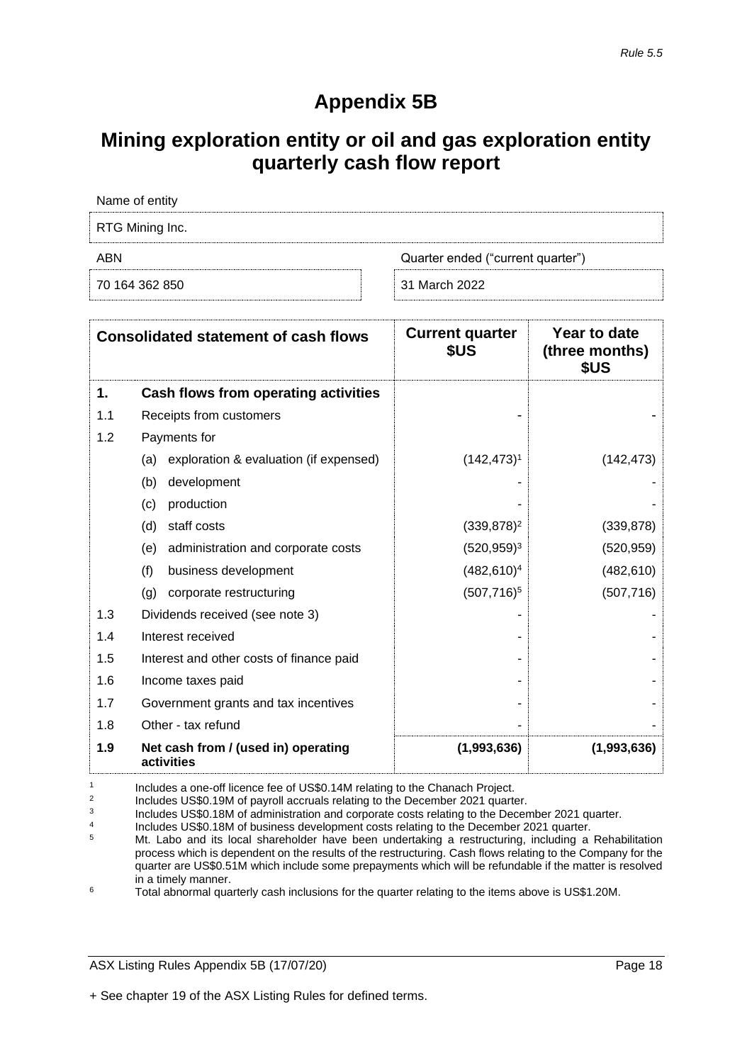# **Appendix 5B**

# **Mining exploration entity or oil and gas exploration entity quarterly cash flow report**

| Name of entity  |                                   |  |  |  |
|-----------------|-----------------------------------|--|--|--|
| RTG Mining Inc. |                                   |  |  |  |
| ABN             | Quarter ended ("current quarter") |  |  |  |
| 70 164 362 850  | 31 March 2022                     |  |  |  |

|     | <b>Consolidated statement of cash flows</b>       | <b>Current quarter</b><br>\$US | Year to date<br>(three months)<br>\$US |
|-----|---------------------------------------------------|--------------------------------|----------------------------------------|
| 1.  | Cash flows from operating activities              |                                |                                        |
| 1.1 | Receipts from customers                           |                                |                                        |
| 1.2 | Payments for                                      |                                |                                        |
|     | exploration & evaluation (if expensed)<br>(a)     | $(142, 473)^1$                 | (142, 473)                             |
|     | (b)<br>development                                |                                |                                        |
|     | production<br>(c)                                 |                                |                                        |
|     | staff costs<br>(d)                                | $(339, 878)^2$                 | (339, 878)                             |
|     | administration and corporate costs<br>(e)         | $(520, 959)^3$                 | (520, 959)                             |
|     | (f)<br>business development                       | $(482, 610)^4$                 | (482, 610)                             |
|     | corporate restructuring<br>(g)                    | $(507, 716)^5$                 | (507, 716)                             |
| 1.3 | Dividends received (see note 3)                   |                                |                                        |
| 1.4 | Interest received                                 |                                |                                        |
| 1.5 | Interest and other costs of finance paid          |                                |                                        |
| 1.6 | Income taxes paid                                 |                                |                                        |
| 1.7 | Government grants and tax incentives              |                                |                                        |
| 1.8 | Other - tax refund                                |                                |                                        |
| 1.9 | Net cash from / (used in) operating<br>activities | (1,993,636)                    | (1,993,636)                            |

1 Includes a one-off licence fee of US\$0.14M relating to the Chanach Project.

2 Includes US\$0.19M of payroll accruals relating to the December 2021 quarter.

3 Includes US\$0.18M of administration and corporate costs relating to the December 2021 quarter.

4 Includes US\$0.18M of business development costs relating to the December 2021 quarter.

<sup>5</sup> Mt. Labo and its local shareholder have been undertaking a restructuring, including a Rehabilitation process which is dependent on the results of the restructuring. Cash flows relating to the Company for the quarter are US\$0.51M which include some prepayments which will be refundable if the matter is resolved in a timely manner.

<sup>6</sup> Total abnormal quarterly cash inclusions for the quarter relating to the items above is US\$1.20M.

ASX Listing Rules Appendix 5B (17/07/20) **Page 18**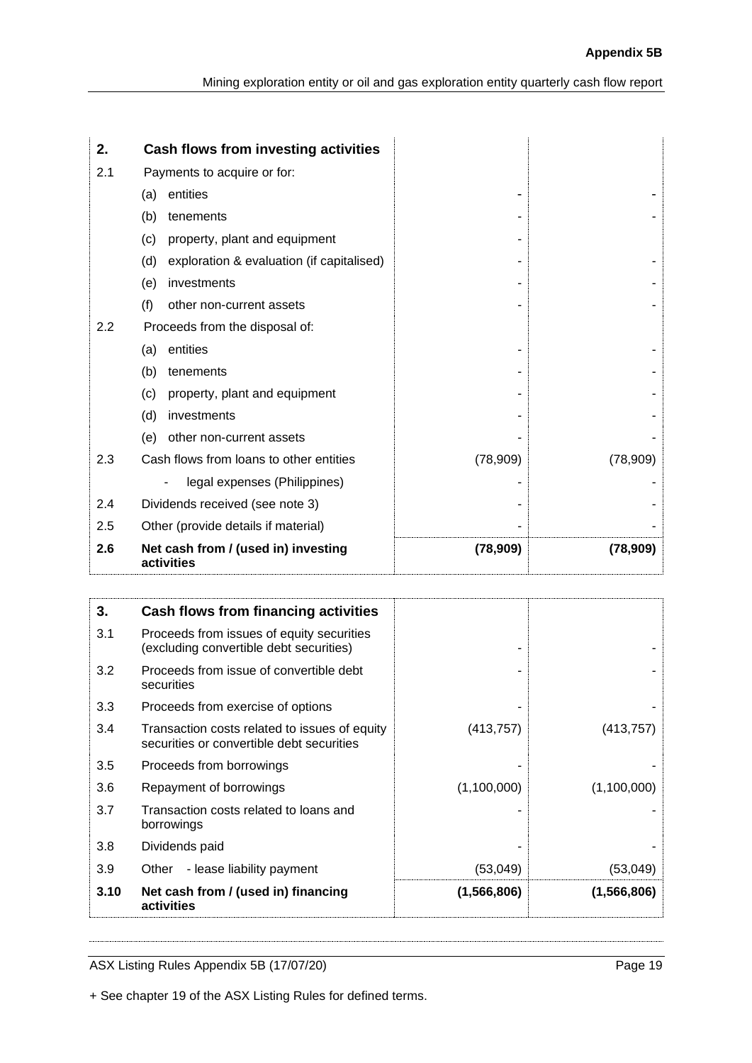| 2.  | Cash flows from investing activities              |          |           |
|-----|---------------------------------------------------|----------|-----------|
| 2.1 | Payments to acquire or for:                       |          |           |
|     | entities<br>(a)                                   |          |           |
|     | (b)<br>tenements                                  |          |           |
|     | property, plant and equipment<br>(c)              |          |           |
|     | exploration & evaluation (if capitalised)<br>(d)  |          |           |
|     | investments<br>(e)                                |          |           |
|     | (f)<br>other non-current assets                   |          |           |
| 2.2 | Proceeds from the disposal of:                    |          |           |
|     | entities<br>(a)                                   |          |           |
|     | (b)<br>tenements                                  |          |           |
|     | property, plant and equipment<br>(c)              |          |           |
|     | (d)<br>investments                                |          |           |
|     | other non-current assets<br>(e)                   |          |           |
| 2.3 | Cash flows from loans to other entities           | (78,909) | (78,909)  |
|     | legal expenses (Philippines)                      |          |           |
| 2.4 | Dividends received (see note 3)                   |          |           |
| 2.5 | Other (provide details if material)               |          |           |
| 2.6 | Net cash from / (used in) investing<br>activities | (78,909) | (78, 909) |

| 3.   | Cash flows from financing activities                                                       |               |               |
|------|--------------------------------------------------------------------------------------------|---------------|---------------|
| 3.1  | Proceeds from issues of equity securities<br>(excluding convertible debt securities)       |               |               |
| 3.2  | Proceeds from issue of convertible debt<br>securities                                      |               |               |
| 3.3  | Proceeds from exercise of options                                                          |               |               |
| 3.4  | Transaction costs related to issues of equity<br>securities or convertible debt securities | (413, 757)    | (413, 757)    |
| 3.5  | Proceeds from borrowings                                                                   |               |               |
| 3.6  | Repayment of borrowings                                                                    | (1,100,000)   | (1,100,000)   |
| 3.7  | Transaction costs related to loans and<br>borrowings                                       |               |               |
| 3.8  | Dividends paid                                                                             |               |               |
| 3.9  | - lease liability payment<br>Other                                                         | (53,049)      | (53,049)      |
| 3.10 | Net cash from / (used in) financing<br>activities                                          | (1, 566, 806) | (1, 566, 806) |

ASX Listing Rules Appendix 5B (17/07/20) **Page 19** Page 19

+ See chapter 19 of the ASX Listing Rules for defined terms.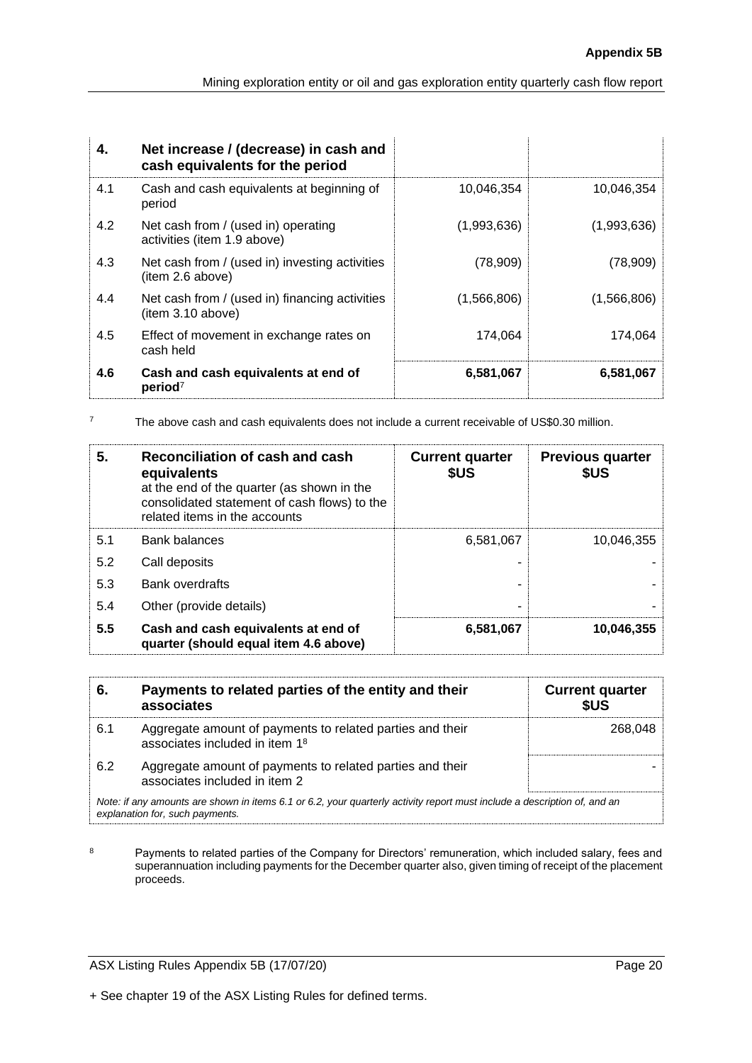| 4.  | Net increase / (decrease) in cash and<br>cash equivalents for the period |              |             |
|-----|--------------------------------------------------------------------------|--------------|-------------|
| 4.1 | Cash and cash equivalents at beginning of<br>period                      | 10,046,354   | 10.046.354  |
| 4.2 | Net cash from / (used in) operating<br>activities (item 1.9 above)       | (1,993,636)  | (1,993,636) |
| 4.3 | Net cash from / (used in) investing activities<br>(item 2.6 above)       | (78,909)     | (78,909)    |
| 4.4 | Net cash from / (used in) financing activities<br>(item 3.10 above)      | (1.566, 806) | (1,566,806) |
| 4.5 | Effect of movement in exchange rates on<br>cash held                     | 174,064      | 174.064     |
| 4.6 | Cash and cash equivalents at end of<br>period <sup>7</sup>               | 6,581,067    | 6,581,067   |

 $7 - 7$  The above cash and cash equivalents does not include a current receivable of US\$0.30 million.

| 5.  | Reconciliation of cash and cash<br>equivalents<br>at the end of the quarter (as shown in the<br>consolidated statement of cash flows) to the<br>related items in the accounts | <b>Current quarter</b><br>\$US | <b>Previous quarter</b><br>\$US |
|-----|-------------------------------------------------------------------------------------------------------------------------------------------------------------------------------|--------------------------------|---------------------------------|
| 5.1 | <b>Bank balances</b>                                                                                                                                                          | 6,581,067                      | 10,046,355                      |
| 5.2 | Call deposits                                                                                                                                                                 |                                |                                 |
| 5.3 | <b>Bank overdrafts</b>                                                                                                                                                        |                                |                                 |
| 5.4 | Other (provide details)                                                                                                                                                       | ۰                              |                                 |
| 5.5 | Cash and cash equivalents at end of<br>quarter (should equal item 4.6 above)                                                                                                  | 6,581,067                      | 10,046,355                      |

| 6.  | Payments to related parties of the entity and their<br>associates                                                                                           | <b>Current quarter</b><br><b>SUS</b> |
|-----|-------------------------------------------------------------------------------------------------------------------------------------------------------------|--------------------------------------|
| 6.1 | Aggregate amount of payments to related parties and their<br>associates included in item 1 <sup>8</sup>                                                     | 268,048                              |
| 6.2 | Aggregate amount of payments to related parties and their<br>associates included in item 2                                                                  |                                      |
|     | Note: if any amounts are shown in items 6.1 or 6.2, your quarterly activity report must include a description of, and an<br>explanation for, such payments. |                                      |

8 Payments to related parties of the Company for Directors' remuneration, which included salary, fees and superannuation including payments for the December quarter also, given timing of receipt of the placement proceeds.

ASX Listing Rules Appendix 5B (17/07/20) Page 20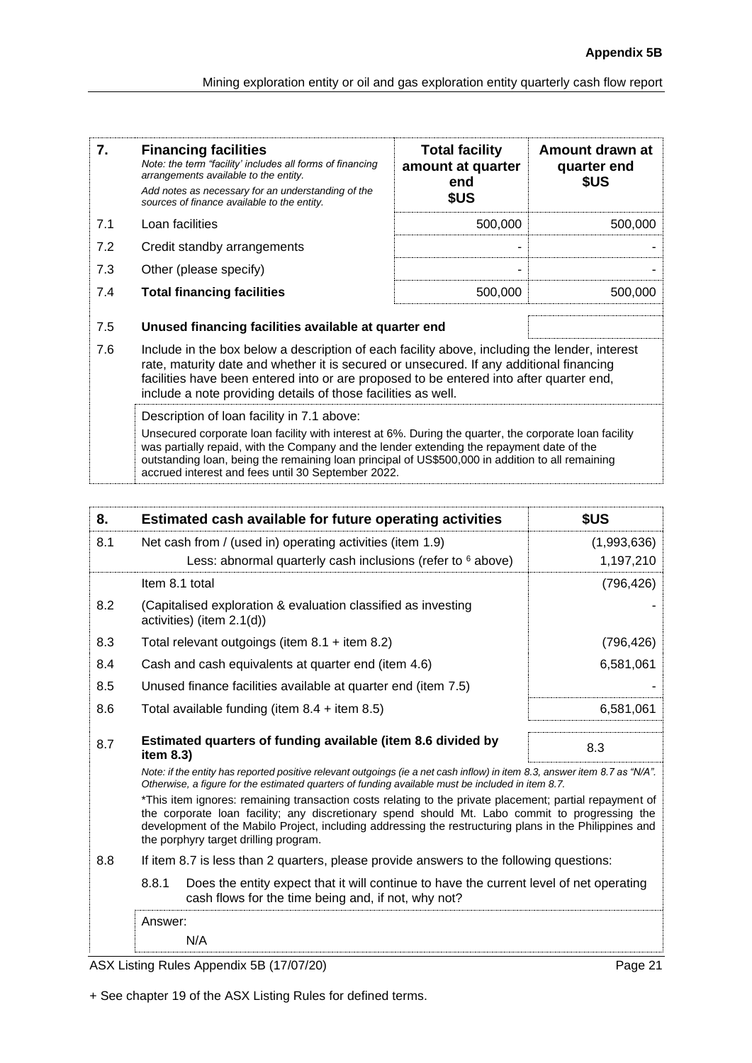| 7.  | <b>Financing facilities</b><br>Note: the term "facility' includes all forms of financing<br>arrangements available to the entity.<br>Add notes as necessary for an understanding of the<br>sources of finance available to the entity.                                                                     | <b>Total facility</b><br>amount at quarter<br>end<br>\$US | Amount drawn at<br>quarter end<br>\$US |
|-----|------------------------------------------------------------------------------------------------------------------------------------------------------------------------------------------------------------------------------------------------------------------------------------------------------------|-----------------------------------------------------------|----------------------------------------|
| 7.1 | Loan facilities                                                                                                                                                                                                                                                                                            | 500,000                                                   | 500,000                                |
| 7.2 | Credit standby arrangements                                                                                                                                                                                                                                                                                |                                                           |                                        |
| 7.3 | Other (please specify)                                                                                                                                                                                                                                                                                     |                                                           |                                        |
| 7.4 | <b>Total financing facilities</b>                                                                                                                                                                                                                                                                          | 500,000                                                   | 500,000                                |
| 7.5 | Unused financing facilities available at quarter end                                                                                                                                                                                                                                                       |                                                           |                                        |
| 7.6 | Include in the box below a description of each facility above, including the lender, interest<br>rate, maturity date and whether it is secured or unsecured. If any additional financing<br>#do MM (so the collection of the collection of the form of the solution of the collection of the collection of |                                                           |                                        |

facilities have been entered into or are proposed to be entered into after quarter end, include a note providing details of those facilities as well. Description of loan facility in 7.1 above:

Unsecured corporate loan facility with interest at 6%. During the quarter, the corporate loan facility was partially repaid, with the Company and the lender extending the repayment date of the outstanding loan, being the remaining loan principal of US\$500,000 in addition to all remaining accrued interest and fees until 30 September 2022.

| 8.  | Estimated cash available for future operating activities                                                                                                                                                                        | \$US        |
|-----|---------------------------------------------------------------------------------------------------------------------------------------------------------------------------------------------------------------------------------|-------------|
| 8.1 | Net cash from / (used in) operating activities (item 1.9)                                                                                                                                                                       | (1,993,636) |
|     | Less: abnormal quarterly cash inclusions (refer to <sup>6</sup> above)                                                                                                                                                          | 1,197,210   |
|     | Item 8.1 total                                                                                                                                                                                                                  | (796, 426)  |
| 8.2 | (Capitalised exploration & evaluation classified as investing<br>activities) (item $2.1(d)$ )                                                                                                                                   |             |
| 8.3 | Total relevant outgoings (item $8.1$ + item $8.2$ )                                                                                                                                                                             | (796,426)   |
| 8.4 | Cash and cash equivalents at quarter end (item 4.6)                                                                                                                                                                             | 6,581,061   |
| 8.5 | Unused finance facilities available at quarter end (item 7.5)                                                                                                                                                                   |             |
| 8.6 | Total available funding (item $8.4$ + item $8.5$ )                                                                                                                                                                              | 6,581,061   |
| 8.7 | Estimated quarters of funding available (item 8.6 divided by<br>item $8.3$ )                                                                                                                                                    | 8.3         |
|     | Note: if the entity has reported positive relevant outgoings (ie a net cash inflow) in item 8.3, answer item 8.7 as "N/A".<br>Otherwise, a figure for the estimated quarters of funding available must be included in item 8.7. |             |
|     | *This item ignores: remaining transaction costs relating to the private placement: partial repayment of                                                                                                                         |             |

\*This item ignores: remaining transaction costs relating to the private placement; partial repayment of the corporate loan facility; any discretionary spend should Mt. Labo commit to progressing the development of the Mabilo Project, including addressing the restructuring plans in the Philippines and the porphyry target drilling program.

- 8.8 If item 8.7 is less than 2 quarters, please provide answers to the following questions:
	- 8.8.1 Does the entity expect that it will continue to have the current level of net operating cash flows for the time being and, if not, why not?

| <br>Answer: |
|-------------|
| N/A         |

ASX Listing Rules Appendix 5B (17/07/20) **Page 21** Page 21

+ See chapter 19 of the ASX Listing Rules for defined terms.